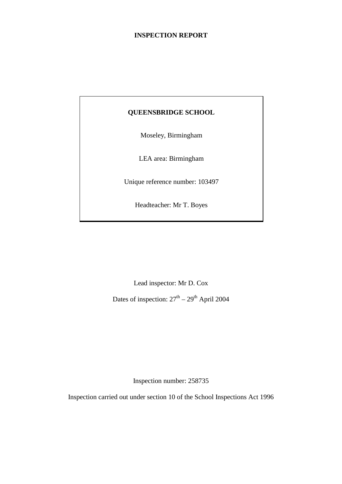### **INSPECTION REPORT**

### **QUEENSBRIDGE SCHOOL**

Moseley, Birmingham

LEA area: Birmingham

Unique reference number: 103497

Headteacher: Mr T. Boyes

Lead inspector: Mr D. Cox

Dates of inspection:  $27<sup>th</sup> - 29<sup>th</sup>$  April 2004

Inspection number: 258735

Inspection carried out under section 10 of the School Inspections Act 1996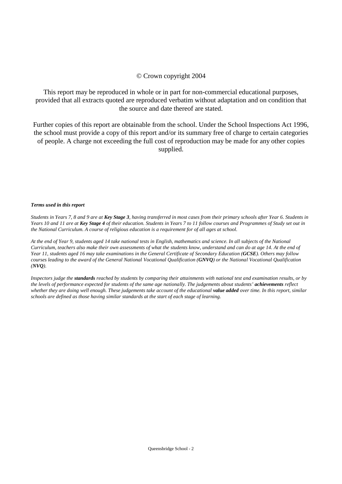#### © Crown copyright 2004

This report may be reproduced in whole or in part for non-commercial educational purposes, provided that all extracts quoted are reproduced verbatim without adaptation and on condition that the source and date thereof are stated.

Further copies of this report are obtainable from the school. Under the School Inspections Act 1996, the school must provide a copy of this report and/or its summary free of charge to certain categories of people. A charge not exceeding the full cost of reproduction may be made for any other copies supplied.

#### *Terms used in this report*

*Students in Years 7, 8 and 9 are at Key Stage 3, having transferred in most cases from their primary schools after Year 6. Students in Years 10 and 11 are at Key Stage 4 of their education. Students in Years 7 to 11 follow courses and Programmes of Study set out in the National Curriculum. A course of religious education is a requirement for of all ages at school.*

*At the end of Year 9, students aged 14 take national tests in English, mathematics and science. In all subjects of the National Curriculum, teachers also make their own assessments of what the students know, understand and can do at age 14. At the end of Year 11, students aged 16 may take examinations in the General Certificate of Secondary Education (GCSE). Others may follow courses leading to the award of the General National Vocational Qualification (GNVQ) or the National Vocational Qualification (NVQ).*

*Inspectors judge the standards reached by students by comparing their attainments with national test and examination results, or by the levels of performance expected for students of the same age nationally. The judgements about students' achievements reflect whether they are doing well enough. These judgements take account of the educational value added <i>over time. In this report, similar schools are defined as those having similar standards at the start of each stage of learning.*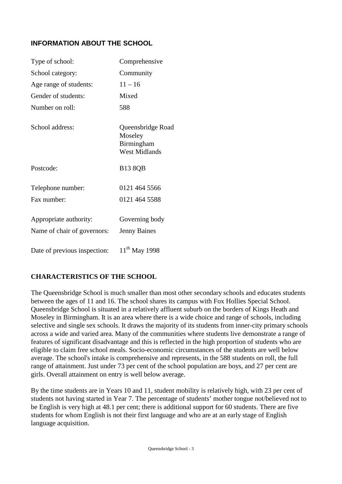# **INFORMATION ABOUT THE SCHOOL**

| Type of school:                                       | Comprehensive                                                      |
|-------------------------------------------------------|--------------------------------------------------------------------|
| School category:                                      | Community                                                          |
| Age range of students:                                | $11 - 16$                                                          |
| Gender of students:                                   | Mixed                                                              |
| Number on roll:                                       | 588                                                                |
| School address:                                       | Queensbridge Road<br>Moseley<br>Birmingham<br><b>West Midlands</b> |
| Postcode:                                             | <b>B13 8QB</b>                                                     |
| Telephone number:                                     | 0121 464 5566                                                      |
| Fax number:                                           | 0121 464 5588                                                      |
| Appropriate authority:<br>Name of chair of governors: | Governing body<br><b>Jenny Baines</b>                              |
| Date of previous inspection:                          | $11^{th}$ May 1998                                                 |

### **CHARACTERISTICS OF THE SCHOOL**

The Queensbridge School is much smaller than most other secondary schools and educates students between the ages of 11 and 16. The school shares its campus with Fox Hollies Special School. Queensbridge School is situated in a relatively affluent suburb on the borders of Kings Heath and Moseley in Birmingham. It is an area where there is a wide choice and range of schools, including selective and single sex schools. It draws the majority of its students from inner-city primary schools across a wide and varied area. Many of the communities where students live demonstrate a range of features of significant disadvantage and this is reflected in the high proportion of students who are eligible to claim free school meals. Socio-economic circumstances of the students are well below average. The school's intake is comprehensive and represents, in the 588 students on roll, the full range of attainment. Just under 73 per cent of the school population are boys, and 27 per cent are girls. Overall attainment on entry is well below average.

By the time students are in Years 10 and 11, student mobility is relatively high, with 23 per cent of students not having started in Year 7. The percentage of students' mother tongue not/believed not to be English is very high at 48.1 per cent; there is additional support for 60 students. There are five students for whom English is not their first language and who are at an early stage of English language acquisition.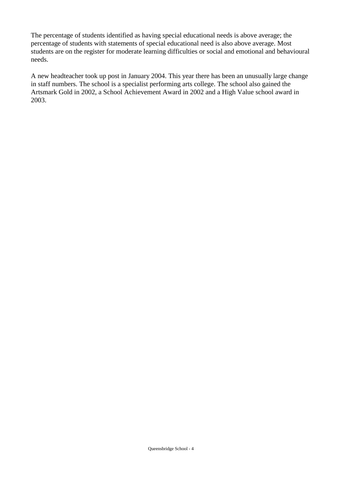The percentage of students identified as having special educational needs is above average; the percentage of students with statements of special educational need is also above average. Most students are on the register for moderate learning difficulties or social and emotional and behavioural needs.

A new headteacher took up post in January 2004. This year there has been an unusually large change in staff numbers. The school is a specialist performing arts college. The school also gained the Artsmark Gold in 2002, a School Achievement Award in 2002 and a High Value school award in 2003.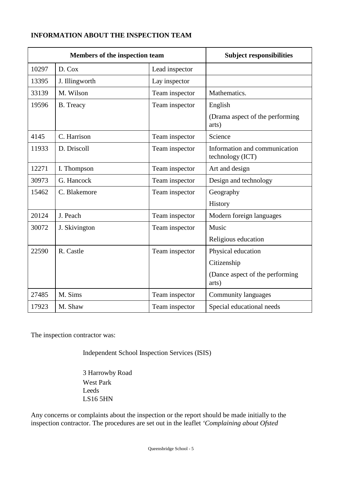## **INFORMATION ABOUT THE INSPECTION TEAM**

| Members of the inspection team |                  | <b>Subject responsibilities</b> |                                                   |
|--------------------------------|------------------|---------------------------------|---------------------------------------------------|
| 10297                          | D. Cox           | Lead inspector                  |                                                   |
| 13395                          | J. Illingworth   | Lay inspector                   |                                                   |
| 33139                          | M. Wilson        | Team inspector                  | Mathematics.                                      |
| 19596                          | <b>B.</b> Treacy | Team inspector                  | English                                           |
|                                |                  |                                 | (Drama aspect of the performing)<br>arts)         |
| 4145                           | C. Harrison      | Team inspector                  | Science                                           |
| 11933                          | D. Driscoll      | Team inspector                  | Information and communication<br>technology (ICT) |
| 12271                          | I. Thompson      | Team inspector                  | Art and design                                    |
| 30973                          | G. Hancock       | Team inspector                  | Design and technology                             |
| 15462                          | C. Blakemore     | Team inspector                  | Geography                                         |
|                                |                  |                                 | History                                           |
| 20124                          | J. Peach         | Team inspector                  | Modern foreign languages                          |
| 30072                          | J. Skivington    | Team inspector                  | Music                                             |
|                                |                  |                                 | Religious education                               |
| 22590                          | R. Castle        | Team inspector                  | Physical education                                |
|                                |                  |                                 | Citizenship                                       |
|                                |                  |                                 | (Dance aspect of the performing<br>arts)          |
| 27485                          | M. Sims          | Team inspector                  | <b>Community languages</b>                        |
| 17923                          | M. Shaw          | Team inspector                  | Special educational needs                         |

The inspection contractor was:

Independent School Inspection Services (ISIS)

3 Harrowby Road West Park Leeds LS16 5HN

Any concerns or complaints about the inspection or the report should be made initially to the inspection contractor. The procedures are set out in the leaflet *'Complaining about Ofsted*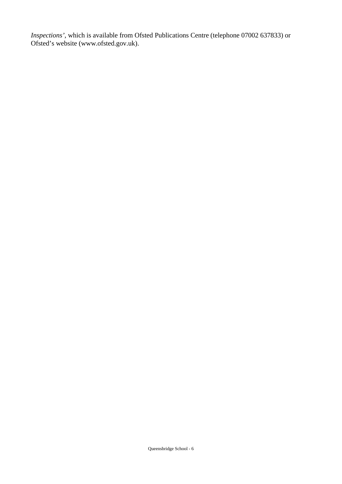*Inspections'*, which is available from Ofsted Publications Centre (telephone 07002 637833) or Ofsted's website (www.ofsted.gov.uk).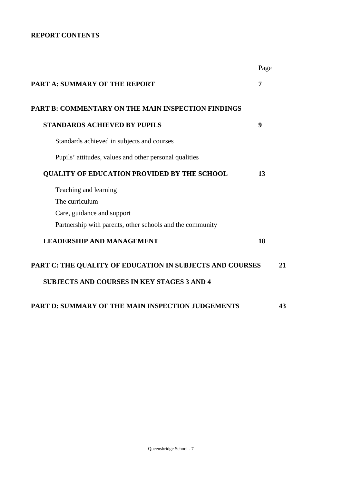### **REPORT CONTENTS**

|                                                           | Page |
|-----------------------------------------------------------|------|
| PART A: SUMMARY OF THE REPORT                             | 7    |
| <b>PART B: COMMENTARY ON THE MAIN INSPECTION FINDINGS</b> |      |
| <b>STANDARDS ACHIEVED BY PUPILS</b>                       | 9    |
| Standards achieved in subjects and courses                |      |
| Pupils' attitudes, values and other personal qualities    |      |
| QUALITY OF EDUCATION PROVIDED BY THE SCHOOL               | 13   |
| Teaching and learning                                     |      |
| The curriculum                                            |      |
| Care, guidance and support                                |      |
| Partnership with parents, other schools and the community |      |
| <b>LEADERSHIP AND MANAGEMENT</b>                          | 18   |
| PART C: THE QUALITY OF EDUCATION IN SUBJECTS AND COURSES  | 21   |
| <b>SUBJECTS AND COURSES IN KEY STAGES 3 AND 4</b>         |      |
| PART D: SUMMARY OF THE MAIN INSPECTION JUDGEMENTS         | 43   |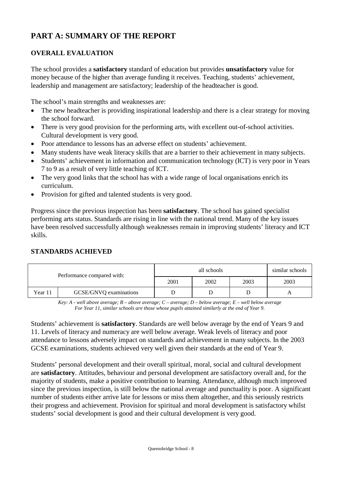# **PART A: SUMMARY OF THE REPORT**

### **OVERALL EVALUATION**

The school provides a **satisfactory** standard of education but provides **unsatisfactory** value for money because of the higher than average funding it receives. Teaching, students' achievement, leadership and management are satisfactory; leadership of the headteacher is good.

The school's main strengths and weaknesses are:

- The new headteacher is providing inspirational leadership and there is a clear strategy for moving the school forward.
- There is very good provision for the performing arts, with excellent out-of-school activities. Cultural development is very good.
- Poor attendance to lessons has an adverse effect on students' achievement.
- Many students have weak literacy skills that are a barrier to their achievement in many subjects.
- Students' achievement in information and communication technology (ICT) is very poor in Years 7 to 9 as a result of very little teaching of ICT.
- The very good links that the school has with a wide range of local organisations enrich its curriculum.
- Provision for gifted and talented students is very good.

Progress since the previous inspection has been **satisfactory**. The school has gained specialist performing arts status. Standards are rising in line with the national trend. Many of the key issues have been resolved successfully although weaknesses remain in improving students' literacy and ICT skills.

### **STANDARDS ACHIEVED**

| Performance compared with: |                        | similar schools<br>all schools |      |      |      |  |
|----------------------------|------------------------|--------------------------------|------|------|------|--|
|                            |                        | 2001                           | 2002 | 2003 | 2003 |  |
| Year 11                    | GCSE/GNVQ examinations |                                |      |      |      |  |

*Key: A - well above average; B – above average; C – average; D – below average; E – well below average For Year 11, similar schools are those whose pupils attained similarly at the end of Year 9.*

Students' achievement is **satisfactory**. Standards are well below average by the end of Years 9 and 11. Levels of literacy and numeracy are well below average. Weak levels of literacy and poor attendance to lessons adversely impact on standards and achievement in many subjects. In the 2003 GCSE examinations, students achieved very well given their standards at the end of Year 9.

Students' personal development and their overall spiritual, moral, social and cultural development are **satisfactory**. Attitudes, behaviour and personal development are satisfactory overall and, for the majority of students, make a positive contribution to learning. Attendance, although much improved since the previous inspection, is still below the national average and punctuality is poor. A significant number of students either arrive late for lessons or miss them altogether, and this seriously restricts their progress and achievement. Provision for spiritual and moral development is satisfactory whilst students' social development is good and their cultural development is very good.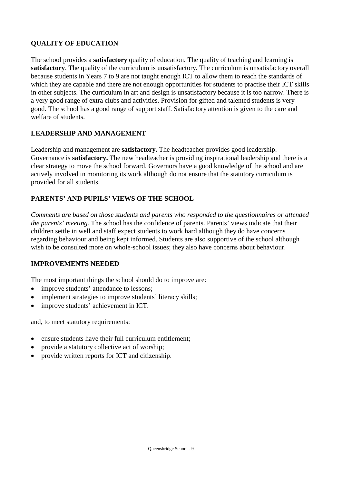## **QUALITY OF EDUCATION**

The school provides a **satisfactory** quality of education. The quality of teaching and learning is **satisfactory**. The quality of the curriculum is unsatisfactory. The curriculum is unsatisfactory overall because students in Years 7 to 9 are not taught enough ICT to allow them to reach the standards of which they are capable and there are not enough opportunities for students to practise their ICT skills in other subjects. The curriculum in art and design is unsatisfactory because it is too narrow. There is a very good range of extra clubs and activities. Provision for gifted and talented students is very good. The school has a good range of support staff. Satisfactory attention is given to the care and welfare of students.

### **LEADERSHIP AND MANAGEMENT**

Leadership and management are **satisfactory.** The headteacher provides good leadership. Governance is **satisfactory.** The new headteacher is providing inspirational leadership and there is a clear strategy to move the school forward. Governors have a good knowledge of the school and are actively involved in monitoring its work although do not ensure that the statutory curriculum is provided for all students.

### **PARENTS' AND PUPILS' VIEWS OF THE SCHOOL**

*Comments are based on those students and parents who responded to the questionnaires or attended the parents' meeting.* The school has the confidence of parents. Parents' views indicate that their children settle in well and staff expect students to work hard although they do have concerns regarding behaviour and being kept informed. Students are also supportive of the school although wish to be consulted more on whole-school issues; they also have concerns about behaviour.

### **IMPROVEMENTS NEEDED**

The most important things the school should do to improve are:

- improve students' attendance to lessons;
- implement strategies to improve students' literacy skills;
- improve students' achievement in ICT.

and, to meet statutory requirements:

- ensure students have their full curriculum entitlement;
- provide a statutory collective act of worship;
- provide written reports for ICT and citizenship.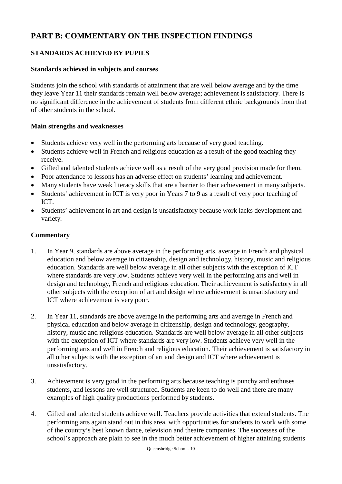# **PART B: COMMENTARY ON THE INSPECTION FINDINGS**

### **STANDARDS ACHIEVED BY PUPILS**

### **Standards achieved in subjects and courses**

Students join the school with standards of attainment that are well below average and by the time they leave Year 11 their standards remain well below average; achievement is satisfactory. There is no significant difference in the achievement of students from different ethnic backgrounds from that of other students in the school.

### **Main strengths and weaknesses**

- Students achieve very well in the performing arts because of very good teaching.
- Students achieve well in French and religious education as a result of the good teaching they receive.
- Gifted and talented students achieve well as a result of the very good provision made for them.
- Poor attendance to lessons has an adverse effect on students' learning and achievement.
- Many students have weak literacy skills that are a barrier to their achievement in many subjects.
- Students' achievement in ICT is very poor in Years 7 to 9 as a result of very poor teaching of ICT.
- Students' achievement in art and design is unsatisfactory because work lacks development and variety.

### **Commentary**

- 1. In Year 9, standards are above average in the performing arts, average in French and physical education and below average in citizenship, design and technology, history, music and religious education. Standards are well below average in all other subjects with the exception of ICT where standards are very low. Students achieve very well in the performing arts and well in design and technology, French and religious education. Their achievement is satisfactory in all other subjects with the exception of art and design where achievement is unsatisfactory and ICT where achievement is very poor.
- 2. In Year 11, standards are above average in the performing arts and average in French and physical education and below average in citizenship, design and technology, geography, history, music and religious education. Standards are well below average in all other subjects with the exception of ICT where standards are very low. Students achieve very well in the performing arts and well in French and religious education. Their achievement is satisfactory in all other subjects with the exception of art and design and ICT where achievement is unsatisfactory.
- 3. Achievement is very good in the performing arts because teaching is punchy and enthuses students, and lessons are well structured. Students are keen to do well and there are many examples of high quality productions performed by students.
- 4. Gifted and talented students achieve well. Teachers provide activities that extend students. The performing arts again stand out in this area, with opportunities for students to work with some of the country's best known dance, television and theatre companies. The successes of the school's approach are plain to see in the much better achievement of higher attaining students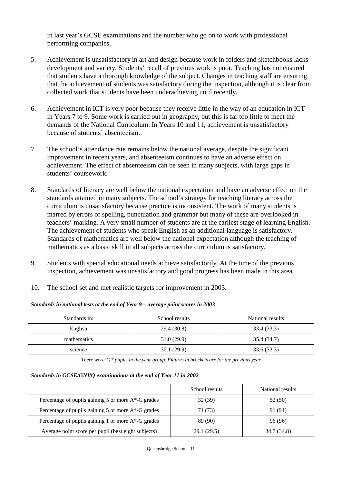in last year's GCSE examinations and the number who go on to work with professional performing companies.

- 5. Achievement is unsatisfactory in art and design because work in folders and sketchbooks lacks development and variety. Students' recall of previous work is poor. Teaching has not ensured that students have a thorough knowledge of the subject. Changes in teaching staff are ensuring that the achievement of students was satisfactory during the inspection, although it is clear from collected work that students have been underachieving until recently.
- 6. Achievement in ICT is very poor because they receive little in the way of an education in ICT in Years 7 to 9. Some work is carried out in geography, but this is far too little to meet the demands of the National Curriculum. In Years 10 and 11, achievement is unsatisfactory because of students' absenteeism.
- 7. The school's attendance rate remains below the national average, despite the significant improvement in recent years, and absenteeism continues to have an adverse effect on achievement. The effect of absenteeism can be seen in many subjects, with large gaps in students' coursework.
- 8. Standards of literacy are well below the national expectation and have an adverse effect on the standards attained in many subjects. The school's strategy for teaching literacy across the curriculum is unsatisfactory because practice is inconsistent. The work of many students is marred by errors of spelling, punctuation and grammar but many of these are overlooked in teachers' marking. A very small number of students are at the earliest stage of learning English. The achievement of students who speak English as an additional language is satisfactory. Standards of mathematics are well below the national expectation although the teaching of mathematics as a basic skill in all subjects across the curriculum is satisfactory.
- 9. Students with special educational needs achieve satisfactorily. At the time of the previous inspection, achievement was unsatisfactory and good progress has been made in this area.
- 10. The school set and met realistic targets for improvement in 2003.

#### *Standards in national tests at the end of Year 9 – average point scores in 2003*

| Standards in: | School results | National results |
|---------------|----------------|------------------|
| English       | 29.4 (30.8)    | 33.4 (33.3)      |
| mathematics   | 31.0(29.9)     | 35.4 (34.7)      |
| science       | 30.1(29.9)     | 33.6 (33.3)      |

*There were 117 pupils in the year group. Figures in brackets are for the previous year*

#### *Standards in GCSE/GNVQ examinations at the end of Year 11 in 2002*

|                                                     | School results | National results |
|-----------------------------------------------------|----------------|------------------|
| Percentage of pupils gaining 5 or more A*-C grades  | 32(39)         | 52 (50)          |
| Percentage of pupils gaining 5 or more A*-G grades  | 71 (73)        | 91 (91)          |
| Percentage of pupils gaining 1 or more A*-G grades  | 89 (90)        | 96 (96)          |
| Average point score per pupil (best eight subjects) | 29.1 (29.5)    | 34.7 (34.8)      |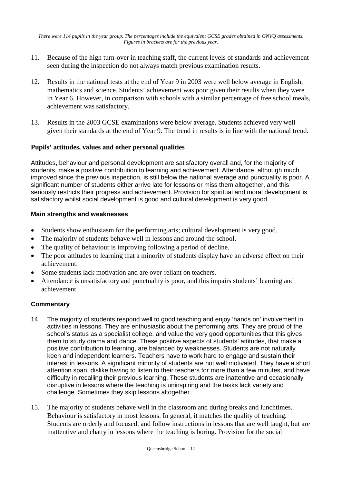*There were 114 pupils in the year group. The percentages include the equivalent GCSE grades obtained in GNVQ assessments. Figures in brackets are for the previous year.* 

- 11. Because of the high turn-over in teaching staff, the current levels of standards and achievement seen during the inspection do not always match previous examination results.
- 12. Results in the national tests at the end of Year 9 in 2003 were well below average in English, mathematics and science. Students' achievement was poor given their results when they were in Year 6. However, in comparison with schools with a similar percentage of free school meals, achievement was satisfactory.
- 13. Results in the 2003 GCSE examinations were below average. Students achieved very well given their standards at the end of Year 9. The trend in results is in line with the national trend.

### **Pupils' attitudes, values and other personal qualities**

Attitudes, behaviour and personal development are satisfactory overall and, for the majority of students, make a positive contribution to learning and achievement. Attendance, although much improved since the previous inspection, is still below the national average and punctuality is poor. A significant number of students either arrive late for lessons or miss them altogether, and this seriously restricts their progress and achievement. Provision for spiritual and moral development is satisfactory whilst social development is good and cultural development is very good.

### **Main strengths and weaknesses**

- Students show enthusiasm for the performing arts; cultural development is very good.
- The majority of students behave well in lessons and around the school.
- The quality of behaviour is improving following a period of decline.
- The poor attitudes to learning that a minority of students display have an adverse effect on their achievement.
- Some students lack motivation and are over-reliant on teachers.
- Attendance is unsatisfactory and punctuality is poor, and this impairs students' learning and achievement.

### **Commentary**

- 14. The majority of students respond well to good teaching and enjoy 'hands on' involvement in activities in lessons. They are enthusiastic about the performing arts. They are proud of the school's status as a specialist college, and value the very good opportunities that this gives them to study drama and dance. These positive aspects of students' attitudes, that make a positive contribution to learning, are balanced by weaknesses. Students are not naturally keen and independent learners. Teachers have to work hard to engage and sustain their interest in lessons. A significant minority of students are not well motivated. They have a short attention span, dislike having to listen to their teachers for more than a few minutes, and have difficulty in recalling their previous learning. These students are inattentive and occasionally disruptive in lessons where the teaching is uninspiring and the tasks lack variety and challenge. Sometimes they skip lessons altogether.
- 15. The majority of students behave well in the classroom and during breaks and lunchtimes. Behaviour is satisfactory in most lessons. In general, it matches the quality of teaching. Students are orderly and focused, and follow instructions in lessons that are well taught, but are inattentive and chatty in lessons where the teaching is boring. Provision for the social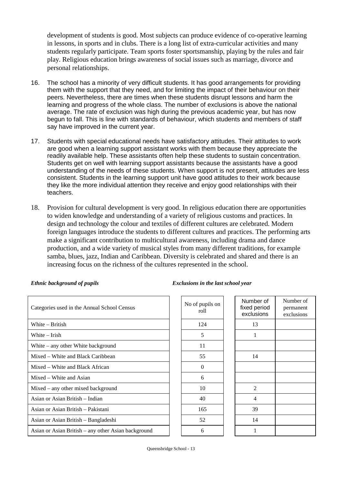development of students is good. Most subjects can produce evidence of co-operative learning in lessons, in sports and in clubs. There is a long list of extra-curricular activities and many students regularly participate. Team sports foster sportsmanship, playing by the rules and fair play. Religious education brings awareness of social issues such as marriage, divorce and personal relationships.

- 16. The school has a minority of very difficult students. It has good arrangements for providing them with the support that they need, and for limiting the impact of their behaviour on their peers. Nevertheless, there are times when these students disrupt lessons and harm the learning and progress of the whole class. The number of exclusions is above the national average. The rate of exclusion was high during the previous academic year, but has now begun to fall. This is line with standards of behaviour, which students and members of staff say have improved in the current year.
- 17. Students with special educational needs have satisfactory attitudes. Their attitudes to work are good when a learning support assistant works with them because they appreciate the readily available help. These assistants often help these students to sustain concentration. Students get on well with learning support assistants because the assistants have a good understanding of the needs of these students. When support is not present, attitudes are less consistent. Students in the learning support unit have good attitudes to their work because they like the more individual attention they receive and enjoy good relationships with their teachers.
- 18. Provision for cultural development is very good. In religious education there are opportunities to widen knowledge and understanding of a variety of religious customs and practices. In design and technology the colour and textiles of different cultures are celebrated. Modern foreign languages introduce the students to different cultures and practices. The performing arts make a significant contribution to multicultural awareness, including drama and dance production, and a wide variety of musical styles from many different traditions, for example samba, blues, jazz, Indian and Caribbean. Diversity is celebrated and shared and there is an increasing focus on the richness of the cultures represented in the school.

| Categories used in the Annual School Census         | No of pupils on<br>roll | <b>Numb</b><br>fixed p<br>exclus |
|-----------------------------------------------------|-------------------------|----------------------------------|
| White – British                                     | 124                     | 13                               |
| White – Irish                                       | 5                       | 1                                |
| White $-$ any other White background                | 11                      |                                  |
| Mixed – White and Black Caribbean                   | 55                      | 14                               |
| Mixed – White and Black African                     | $\Omega$                |                                  |
| Mixed – White and Asian                             | 6                       |                                  |
| $Mixed - any other mixed background$                | 10                      | $\mathfrak{D}$                   |
| Asian or Asian British – Indian                     | 40                      | $\overline{4}$                   |
| Asian or Asian British - Pakistani                  | 165                     | 39                               |
| Asian or Asian British – Bangladeshi                | 52                      | 14                               |
| Asian or Asian British – any other Asian background | 6                       |                                  |

#### *Ethnic background of pupils Exclusions in the last school year*

| of pupils on<br>roll | Number of<br>fixed period<br>exclusions | Number of<br>permanent<br>exclusions |
|----------------------|-----------------------------------------|--------------------------------------|
| 124                  | 13                                      |                                      |
| 5                    | 1                                       |                                      |
| 11                   |                                         |                                      |
| 55                   | 14                                      |                                      |
| 0                    |                                         |                                      |
| 6                    |                                         |                                      |
| 10                   | $\overline{2}$                          |                                      |
| 40                   | $\overline{4}$                          |                                      |
| 165                  | 39                                      |                                      |
| 52                   | 14                                      |                                      |
| 6                    | 1                                       |                                      |
|                      |                                         |                                      |

Queensbridge School - 13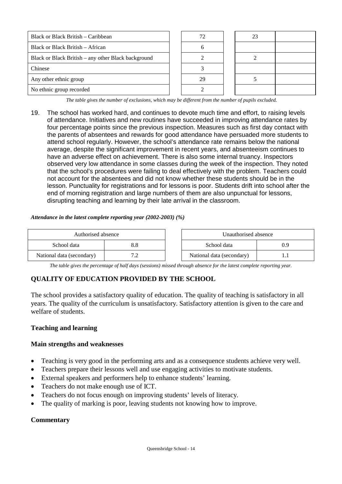| Black or Black British – Caribbean                  |    |  |  |
|-----------------------------------------------------|----|--|--|
| Black or Black British – African                    |    |  |  |
| Black or Black British – any other Black background |    |  |  |
| Chinese                                             |    |  |  |
| Any other ethnic group                              | 29 |  |  |
| No ethnic group recorded                            |    |  |  |

*The table gives the number of exclusions, which may be different from the number of pupils excluded.*

19. The school has worked hard, and continues to devote much time and effort, to raising levels of attendance. Initiatives and new routines have succeeded in improving attendance rates by four percentage points since the previous inspection. Measures such as first day contact with the parents of absentees and rewards for good attendance have persuaded more students to attend school regularly. However, the school's attendance rate remains below the national average, despite the significant improvement in recent years, and absenteeism continues to have an adverse effect on achievement. There is also some internal truancy. Inspectors observed very low attendance in some classes during the week of the inspection. They noted that the school's procedures were failing to deal effectively with the problem. Teachers could not account for the absentees and did not know whether these students should be in the lesson. Punctuality for registrations and for lessons is poor. Students drift into school after the end of morning registration and large numbers of them are also unpunctual for lessons, disrupting teaching and learning by their late arrival in the classroom.

#### *Attendance in the latest complete reporting year (2002-2003) (%)*

| Authorised absence        |  |  | Unauthorised absence      |     |
|---------------------------|--|--|---------------------------|-----|
| School data               |  |  | School data               | 0.9 |
| National data (secondary) |  |  | National data (secondary) |     |

*The table gives the percentage of half days (sessions) missed through absence for the latest complete reporting year.*

### **QUALITY OF EDUCATION PROVIDED BY THE SCHOOL**

The school provides a satisfactory quality of education. The quality of teaching is satisfactory in all years. The quality of the curriculum is unsatisfactory. Satisfactory attention is given to the care and welfare of students.

#### **Teaching and learning**

#### **Main strengths and weaknesses**

- Teaching is very good in the performing arts and as a consequence students achieve very well.
- Teachers prepare their lessons well and use engaging activities to motivate students.
- External speakers and performers help to enhance students' learning.
- Teachers do not make enough use of ICT.
- Teachers do not focus enough on improving students' levels of literacy.
- The quality of marking is poor, leaving students not knowing how to improve.

#### **Commentary**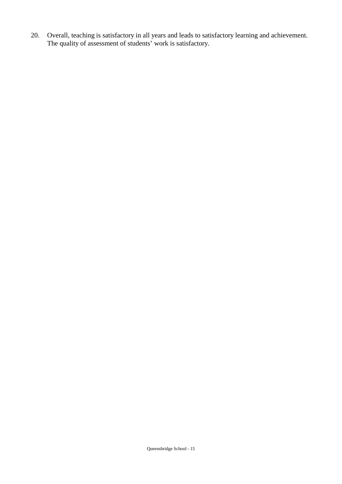20. Overall, teaching is satisfactory in all years and leads to satisfactory learning and achievement. The quality of assessment of students' work is satisfactory.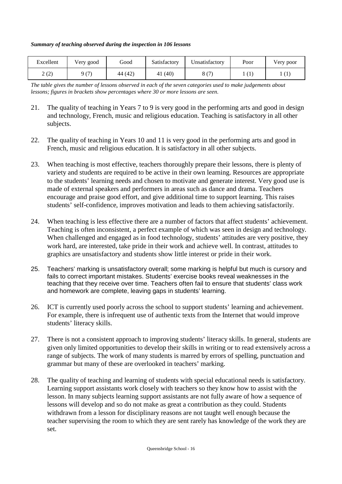*Summary of teaching observed during the inspection in 106 lessons*

| Excellent                    | Very good | Good    | Satisfactory | Unsatisfactorv | Poor         | Very poor        |
|------------------------------|-----------|---------|--------------|----------------|--------------|------------------|
| $\gamma$ ( $\gamma$ )<br>∠∖∠ | Q(T)      | 44 (42) | 41 (40)      | O(f7)<br>o.    | $\mathbf{I}$ | $\left(1\right)$ |

*The table gives the number of lessons observed in each of the seven categories used to make judgements about lessons; figures in brackets show percentages where 30 or more lessons are seen.*

- 21. The quality of teaching in Years 7 to 9 is very good in the performing arts and good in design and technology, French, music and religious education. Teaching is satisfactory in all other subjects.
- 22. The quality of teaching in Years 10 and 11 is very good in the performing arts and good in French, music and religious education. It is satisfactory in all other subjects.
- 23. When teaching is most effective, teachers thoroughly prepare their lessons, there is plenty of variety and students are required to be active in their own learning. Resources are appropriate to the students' learning needs and chosen to motivate and generate interest. Very good use is made of external speakers and performers in areas such as dance and drama. Teachers encourage and praise good effort, and give additional time to support learning. This raises students' self-confidence, improves motivation and leads to them achieving satisfactorily.
- 24. When teaching is less effective there are a number of factors that affect students' achievement. Teaching is often inconsistent, a perfect example of which was seen in design and technology. When challenged and engaged as in food technology, students' attitudes are very positive, they work hard, are interested, take pride in their work and achieve well. In contrast, attitudes to graphics are unsatisfactory and students show little interest or pride in their work.
- 25. Teachers' marking is unsatisfactory overall; some marking is helpful but much is cursory and fails to correct important mistakes. Students' exercise books reveal weaknesses in the teaching that they receive over time. Teachers often fail to ensure that students' class work and homework are complete, leaving gaps in students' learning.
- 26. ICT is currently used poorly across the school to support students' learning and achievement. For example, there is infrequent use of authentic texts from the Internet that would improve students' literacy skills.
- 27. There is not a consistent approach to improving students' literacy skills. In general, students are given only limited opportunities to develop their skills in writing or to read extensively across a range of subjects. The work of many students is marred by errors of spelling, punctuation and grammar but many of these are overlooked in teachers' marking.
- 28. The quality of teaching and learning of students with special educational needs is satisfactory. Learning support assistants work closely with teachers so they know how to assist with the lesson. In many subjects learning support assistants are not fully aware of how a sequence of lessons will develop and so do not make as great a contribution as they could. Students withdrawn from a lesson for disciplinary reasons are not taught well enough because the teacher supervising the room to which they are sent rarely has knowledge of the work they are set.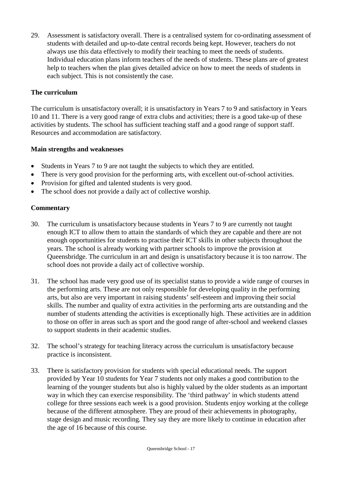29. Assessment is satisfactory overall. There is a centralised system for co-ordinating assessment of students with detailed and up-to-date central records being kept. However, teachers do not always use this data effectively to modify their teaching to meet the needs of students. Individual education plans inform teachers of the needs of students. These plans are of greatest help to teachers when the plan gives detailed advice on how to meet the needs of students in each subject. This is not consistently the case.

### **The curriculum**

The curriculum is unsatisfactory overall; it is unsatisfactory in Years 7 to 9 and satisfactory in Years 10 and 11. There is a very good range of extra clubs and activities; there is a good take-up of these activities by students. The school has sufficient teaching staff and a good range of support staff. Resources and accommodation are satisfactory.

### **Main strengths and weaknesses**

- Students in Years 7 to 9 are not taught the subjects to which they are entitled.
- There is very good provision for the performing arts, with excellent out-of-school activities.
- Provision for gifted and talented students is very good.
- The school does not provide a daily act of collective worship.

### **Commentary**

- 30. The curriculum is unsatisfactory because students in Years 7 to 9 are currently not taught enough ICT to allow them to attain the standards of which they are capable and there are not enough opportunities for students to practise their ICT skills in other subjects throughout the years. The school is already working with partner schools to improve the provision at Queensbridge. The curriculum in art and design is unsatisfactory because it is too narrow. The school does not provide a daily act of collective worship.
- 31. The school has made very good use of its specialist status to provide a wide range of courses in the performing arts. These are not only responsible for developing quality in the performing arts, but also are very important in raising students' self-esteem and improving their social skills. The number and quality of extra activities in the performing arts are outstanding and the number of students attending the activities is exceptionally high. These activities are in addition to those on offer in areas such as sport and the good range of after-school and weekend classes to support students in their academic studies.
- 32. The school's strategy for teaching literacy across the curriculum is unsatisfactory because practice is inconsistent.
- 33. There is satisfactory provision for students with special educational needs. The support provided by Year 10 students for Year 7 students not only makes a good contribution to the learning of the younger students but also is highly valued by the older students as an important way in which they can exercise responsibility. The 'third pathway' in which students attend college for three sessions each week is a good provision. Students enjoy working at the college because of the different atmosphere. They are proud of their achievements in photography, stage design and music recording. They say they are more likely to continue in education after the age of 16 because of this course.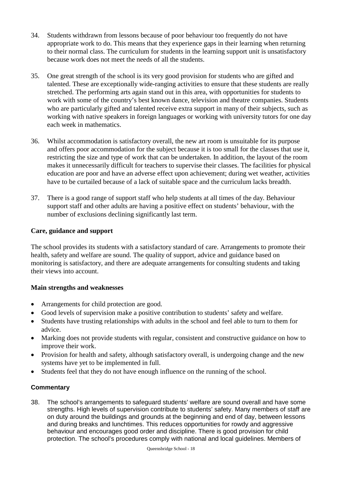- 34. Students withdrawn from lessons because of poor behaviour too frequently do not have appropriate work to do. This means that they experience gaps in their learning when returning to their normal class. The curriculum for students in the learning support unit is unsatisfactory because work does not meet the needs of all the students.
- 35. One great strength of the school is its very good provision for students who are gifted and talented. These are exceptionally wide-ranging activities to ensure that these students are really stretched. The performing arts again stand out in this area, with opportunities for students to work with some of the country's best known dance, television and theatre companies. Students who are particularly gifted and talented receive extra support in many of their subjects, such as working with native speakers in foreign languages or working with university tutors for one day each week in mathematics.
- 36. Whilst accommodation is satisfactory overall, the new art room is unsuitable for its purpose and offers poor accommodation for the subject because it is too small for the classes that use it, restricting the size and type of work that can be undertaken. In addition, the layout of the room makes it unnecessarily difficult for teachers to supervise their classes. The facilities for physical education are poor and have an adverse effect upon achievement; during wet weather, activities have to be curtailed because of a lack of suitable space and the curriculum lacks breadth.
- 37. There is a good range of support staff who help students at all times of the day. Behaviour support staff and other adults are having a positive effect on students' behaviour, with the number of exclusions declining significantly last term.

### **Care, guidance and support**

The school provides its students with a satisfactory standard of care. Arrangements to promote their health, safety and welfare are sound. The quality of support, advice and guidance based on monitoring is satisfactory, and there are adequate arrangements for consulting students and taking their views into account.

### **Main strengths and weaknesses**

- Arrangements for child protection are good.
- Good levels of supervision make a positive contribution to students' safety and welfare.
- Students have trusting relationships with adults in the school and feel able to turn to them for advice.
- Marking does not provide students with regular, consistent and constructive guidance on how to improve their work.
- Provision for health and safety, although satisfactory overall, is undergoing change and the new systems have yet to be implemented in full.
- Students feel that they do not have enough influence on the running of the school.

### **Commentary**

38. The school's arrangements to safeguard students' welfare are sound overall and have some strengths. High levels of supervision contribute to students' safety. Many members of staff are on duty around the buildings and grounds at the beginning and end of day, between lessons and during breaks and lunchtimes. This reduces opportunities for rowdy and aggressive behaviour and encourages good order and discipline. There is good provision for child protection. The school's procedures comply with national and local guidelines. Members of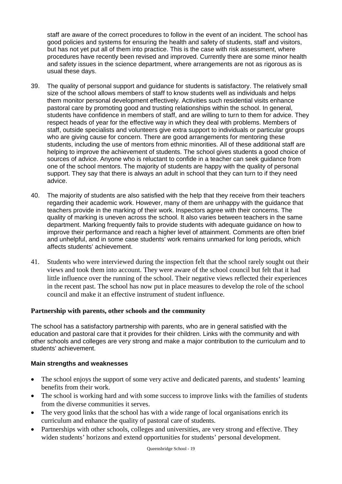staff are aware of the correct procedures to follow in the event of an incident. The school has good policies and systems for ensuring the health and safety of students, staff and visitors, but has not yet put all of them into practice. This is the case with risk assessment, where procedures have recently been revised and improved. Currently there are some minor health and safety issues in the science department, where arrangements are not as rigorous as is usual these days.

- 39. The quality of personal support and guidance for students is satisfactory. The relatively small size of the school allows members of staff to know students well as individuals and helps them monitor personal development effectively. Activities such residential visits enhance pastoral care by promoting good and trusting relationships within the school. In general, students have confidence in members of staff, and are willing to turn to them for advice. They respect heads of year for the effective way in which they deal with problems. Members of staff, outside specialists and volunteers give extra support to individuals or particular groups who are giving cause for concern. There are good arrangements for mentoring these students, including the use of mentors from ethnic minorities. All of these additional staff are helping to improve the achievement of students. The school gives students a good choice of sources of advice. Anyone who is reluctant to confide in a teacher can seek guidance from one of the school mentors. The majority of students are happy with the quality of personal support. They say that there is always an adult in school that they can turn to if they need advice.
- 40. The majority of students are also satisfied with the help that they receive from their teachers regarding their academic work. However, many of them are unhappy with the guidance that teachers provide in the marking of their work. Inspectors agree with their concerns. The quality of marking is uneven across the school. It also varies between teachers in the same department. Marking frequently fails to provide students with adequate guidance on how to improve their performance and reach a higher level of attainment. Comments are often brief and unhelpful, and in some case students' work remains unmarked for long periods, which affects students' achievement.
- 41. Students who were interviewed during the inspection felt that the school rarely sought out their views and took them into account. They were aware of the school council but felt that it had little influence over the running of the school. Their negative views reflected their experiences in the recent past. The school has now put in place measures to develop the role of the school council and make it an effective instrument of student influence.

### **Partnership with parents, other schools and the community**

The school has a satisfactory partnership with parents, who are in general satisfied with the education and pastoral care that it provides for their children. Links with the community and with other schools and colleges are very strong and make a major contribution to the curriculum and to students' achievement.

#### **Main strengths and weaknesses**

- The school enjoys the support of some very active and dedicated parents, and students' learning benefits from their work.
- The school is working hard and with some success to improve links with the families of students from the diverse communities it serves.
- The very good links that the school has with a wide range of local organisations enrich its curriculum and enhance the quality of pastoral care of students.
- Partnerships with other schools, colleges and universities, are very strong and effective. They widen students' horizons and extend opportunities for students' personal development.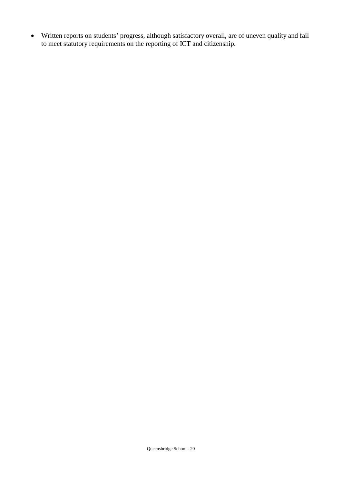Written reports on students' progress, although satisfactory overall, are of uneven quality and fail to meet statutory requirements on the reporting of ICT and citizenship.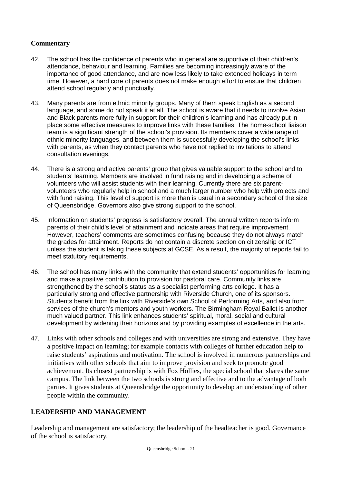### **Commentary**

- 42. The school has the confidence of parents who in general are supportive of their children's attendance, behaviour and learning. Families are becoming increasingly aware of the importance of good attendance, and are now less likely to take extended holidays in term time. However, a hard core of parents does not make enough effort to ensure that children attend school regularly and punctually.
- 43. Many parents are from ethnic minority groups. Many of them speak English as a second language, and some do not speak it at all. The school is aware that it needs to involve Asian and Black parents more fully in support for their children's learning and has already put in place some effective measures to improve links with these families. The home-school liaison team is a significant strength of the school's provision. Its members cover a wide range of ethnic minority languages, and between them is successfully developing the school's links with parents, as when they contact parents who have not replied to invitations to attend consultation evenings.
- 44. There is a strong and active parents' group that gives valuable support to the school and to students' learning. Members are involved in fund raising and in developing a scheme of volunteers who will assist students with their learning. Currently there are six parentvolunteers who regularly help in school and a much larger number who help with projects and with fund raising. This level of support is more than is usual in a secondary school of the size of Queensbridge. Governors also give strong support to the school.
- 45. Information on students' progress is satisfactory overall. The annual written reports inform parents of their child's level of attainment and indicate areas that require improvement. However, teachers' comments are sometimes confusing because they do not always match the grades for attainment. Reports do not contain a discrete section on citizenship or ICT unless the student is taking these subjects at GCSE. As a result, the majority of reports fail to meet statutory requirements.
- 46. The school has many links with the community that extend students' opportunities for learning and make a positive contribution to provision for pastoral care. Community links are strengthened by the school's status as a specialist performing arts college. It has a particularly strong and effective partnership with Riverside Church, one of its sponsors. Students benefit from the link with Riverside's own School of Performing Arts, and also from services of the church's mentors and youth workers. The Birmingham Royal Ballet is another much valued partner. This link enhances students' spiritual, moral, social and cultural development by widening their horizons and by providing examples of excellence in the arts.
- 47. Links with other schools and colleges and with universities are strong and extensive. They have a positive impact on learning; for example contacts with colleges of further education help to raise students' aspirations and motivation. The school is involved in numerous partnerships and initiatives with other schools that aim to improve provision and seek to promote good achievement. Its closest partnership is with Fox Hollies, the special school that shares the same campus. The link between the two schools is strong and effective and to the advantage of both parties. It gives students at Queensbridge the opportunity to develop an understanding of other people within the community.

### **LEADERSHIP AND MANAGEMENT**

Leadership and management are satisfactory; the leadership of the headteacher is good. Governance of the school is satisfactory.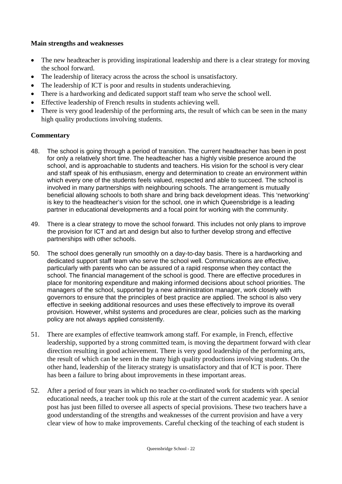### **Main strengths and weaknesses**

- The new headteacher is providing inspirational leadership and there is a clear strategy for moving the school forward.
- The leadership of literacy across the across the school is unsatisfactory.
- The leadership of ICT is poor and results in students underachieving.
- There is a hardworking and dedicated support staff team who serve the school well.
- Effective leadership of French results in students achieving well.
- There is very good leadership of the performing arts, the result of which can be seen in the many high quality productions involving students.

### **Commentary**

- 48. The school is going through a period of transition. The current headteacher has been in post for only a relatively short time. The headteacher has a highly visible presence around the school, and is approachable to students and teachers. His vision for the school is very clear and staff speak of his enthusiasm, energy and determination to create an environment within which every one of the students feels valued, respected and able to succeed. The school is involved in many partnerships with neighbouring schools. The arrangement is mutually beneficial allowing schools to both share and bring back development ideas. This 'networking' is key to the headteacher's vision for the school, one in which Queensbridge is a leading partner in educational developments and a focal point for working with the community.
- 49. There is a clear strategy to move the school forward. This includes not only plans to improve the provision for ICT and art and design but also to further develop strong and effective partnerships with other schools.
- 50. The school does generally run smoothly on a day-to-day basis. There is a hardworking and dedicated support staff team who serve the school well. Communications are effective, particularly with parents who can be assured of a rapid response when they contact the school. The financial management of the school is good. There are effective procedures in place for monitoring expenditure and making informed decisions about school priorities. The managers of the school, supported by a new administration manager, work closely with governors to ensure that the principles of best practice are applied. The school is also very effective in seeking additional resources and uses these effectively to improve its overall provision. However, whilst systems and procedures are clear, policies such as the marking policy are not always applied consistently.
- 51. There are examples of effective teamwork among staff. For example, in French, effective leadership, supported by a strong committed team, is moving the department forward with clear direction resulting in good achievement. There is very good leadership of the performing arts, the result of which can be seen in the many high quality productions involving students. On the other hand, leadership of the literacy strategy is unsatisfactory and that of ICT is poor. There has been a failure to bring about improvements in these important areas.
- 52. After a period of four years in which no teacher co-ordinated work for students with special educational needs, a teacher took up this role at the start of the current academic year. A senior post has just been filled to oversee all aspects of special provisions. These two teachers have a good understanding of the strengths and weaknesses of the current provision and have a very clear view of how to make improvements. Careful checking of the teaching of each student is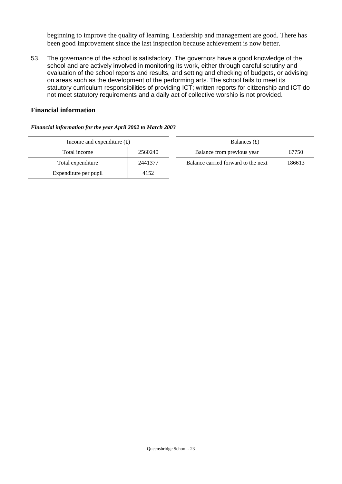beginning to improve the quality of learning. Leadership and management are good. There has been good improvement since the last inspection because achievement is now better.

53. The governance of the school is satisfactory. The governors have a good knowledge of the school and are actively involved in monitoring its work, either through careful scrutiny and evaluation of the school reports and results, and setting and checking of budgets, or advising on areas such as the development of the performing arts. The school fails to meet its statutory curriculum responsibilities of providing ICT; written reports for citizenship and ICT do not meet statutory requirements and a daily act of collective worship is not provided.

### **Financial information**

#### *Financial information for the year April 2002 to March 2003*

| Income and expenditure $(f)$ | Balances $(f)$ |                                  |
|------------------------------|----------------|----------------------------------|
| Total income                 | 2560240        | Balance from previous year       |
| Total expenditure            | 2441377        | Balance carried forward to the r |
| Expenditure per pupil        | 4152           |                                  |

| Income and expenditure $(f)$ |         | Balances $(f)$                      |        |
|------------------------------|---------|-------------------------------------|--------|
| Total income                 | 2560240 | Balance from previous year          | 67750  |
| Total expenditure            | 2441377 | Balance carried forward to the next | 186613 |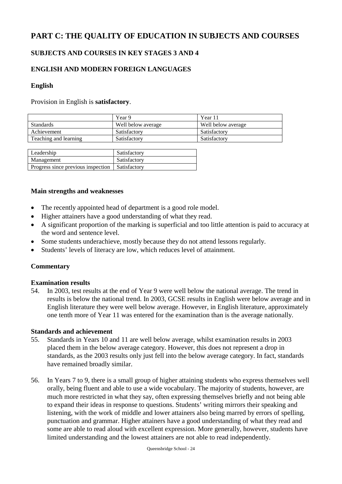# **PART C: THE QUALITY OF EDUCATION IN SUBJECTS AND COURSES**

### **SUBJECTS AND COURSES IN KEY STAGES 3 AND 4**

### **ENGLISH AND MODERN FOREIGN LANGUAGES**

### **English**

Provision in English is **satisfactory**.

|                       | Year 9             | Year 11            |
|-----------------------|--------------------|--------------------|
| <b>Standards</b>      | Well below average | Well below average |
| Achievement           | Satisfactory       | Satisfactory       |
| Teaching and learning | Satisfactory       | Satisfactory       |

| Leadership                         | Satisfactory |
|------------------------------------|--------------|
| Management                         | Satisfactory |
| Progress since previous inspection | Satisfactory |

### **Main strengths and weaknesses**

- The recently appointed head of department is a good role model.
- Higher attainers have a good understanding of what they read.
- A significant proportion of the marking is superficial and too little attention is paid to accuracy at the word and sentence level.
- Some students underachieve, mostly because they do not attend lessons regularly.
- Students' levels of literacy are low, which reduces level of attainment.

#### **Commentary**

#### **Examination results**

54. In 2003, test results at the end of Year 9 were well below the national average. The trend in results is below the national trend. In 2003, GCSE results in English were below average and in English literature they were well below average. However, in English literature, approximately one tenth more of Year 11 was entered for the examination than is the average nationally.

#### **Standards and achievement**

- 55. Standards in Years 10 and 11 are well below average, whilst examination results in 2003 placed them in the below average category. However, this does not represent a drop in standards, as the 2003 results only just fell into the below average category. In fact, standards have remained broadly similar.
- 56. In Years 7 to 9, there is a small group of higher attaining students who express themselves well orally, being fluent and able to use a wide vocabulary. The majority of students, however, are much more restricted in what they say, often expressing themselves briefly and not being able to expand their ideas in response to questions. Students' writing mirrors their speaking and listening, with the work of middle and lower attainers also being marred by errors of spelling, punctuation and grammar. Higher attainers have a good understanding of what they read and some are able to read aloud with excellent expression. More generally, however, students have limited understanding and the lowest attainers are not able to read independently.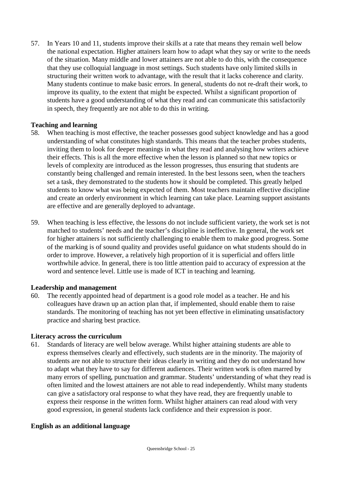57. In Years 10 and 11, students improve their skills at a rate that means they remain well below the national expectation. Higher attainers learn how to adapt what they say or write to the needs of the situation. Many middle and lower attainers are not able to do this, with the consequence that they use colloquial language in most settings. Such students have only limited skills in structuring their written work to advantage, with the result that it lacks coherence and clarity. Many students continue to make basic errors. In general, students do not re-draft their work, to improve its quality, to the extent that might be expected. Whilst a significant proportion of students have a good understanding of what they read and can communicate this satisfactorily in speech, they frequently are not able to do this in writing.

### **Teaching and learning**

- 58. When teaching is most effective, the teacher possesses good subject knowledge and has a good understanding of what constitutes high standards. This means that the teacher probes students, inviting them to look for deeper meanings in what they read and analysing how writers achieve their effects. This is all the more effective when the lesson is planned so that new topics or levels of complexity are introduced as the lesson progresses, thus ensuring that students are constantly being challenged and remain interested. In the best lessons seen, when the teachers set a task, they demonstrated to the students how it should be completed. This greatly helped students to know what was being expected of them. Most teachers maintain effective discipline and create an orderly environment in which learning can take place. Learning support assistants are effective and are generally deployed to advantage.
- 59. When teaching is less effective, the lessons do not include sufficient variety, the work set is not matched to students' needs and the teacher's discipline is ineffective. In general, the work set for higher attainers is not sufficiently challenging to enable them to make good progress. Some of the marking is of sound quality and provides useful guidance on what students should do in order to improve. However, a relatively high proportion of it is superficial and offers little worthwhile advice. In general, there is too little attention paid to accuracy of expression at the word and sentence level. Little use is made of ICT in teaching and learning.

### **Leadership and management**

60. The recently appointed head of department is a good role model as a teacher. He and his colleagues have drawn up an action plan that, if implemented, should enable them to raise standards. The monitoring of teaching has not yet been effective in eliminating unsatisfactory practice and sharing best practice.

### **Literacy across the curriculum**

61. Standards of literacy are well below average. Whilst higher attaining students are able to express themselves clearly and effectively, such students are in the minority. The majority of students are not able to structure their ideas clearly in writing and they do not understand how to adapt what they have to say for different audiences. Their written work is often marred by many errors of spelling, punctuation and grammar. Students' understanding of what they read is often limited and the lowest attainers are not able to read independently. Whilst many students can give a satisfactory oral response to what they have read, they are frequently unable to express their response in the written form. Whilst higher attainers can read aloud with very good expression, in general students lack confidence and their expression is poor.

### **English as an additional language**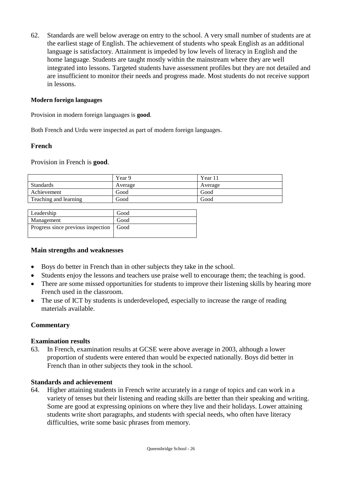62. Standards are well below average on entry to the school. A very small number of students are at the earliest stage of English. The achievement of students who speak English as an additional language is satisfactory. Attainment is impeded by low levels of literacy in English and the home language. Students are taught mostly within the mainstream where they are well integrated into lessons. Targeted students have assessment profiles but they are not detailed and are insufficient to monitor their needs and progress made. Most students do not receive support in lessons.

### **Modern foreign languages**

Provision in modern foreign languages is **good**.

Both French and Urdu were inspected as part of modern foreign languages.

### **French**

Provision in French is **good**.

|                       | Year 9  | Year 11 |
|-----------------------|---------|---------|
| <b>Standards</b>      | Average | Average |
| Achievement           | Good    | Good    |
| Teaching and learning | Good    | Good    |

| Good                                      |
|-------------------------------------------|
| Good                                      |
| Progress since previous inspection   Good |
|                                           |

### **Main strengths and weaknesses**

- Boys do better in French than in other subjects they take in the school.
- Students enjoy the lessons and teachers use praise well to encourage them; the teaching is good.
- There are some missed opportunities for students to improve their listening skills by hearing more French used in the classroom.
- The use of ICT by students is underdeveloped, especially to increase the range of reading materials available.

### **Commentary**

### **Examination results**

63. In French, examination results at GCSE were above average in 2003, although a lower proportion of students were entered than would be expected nationally. Boys did better in French than in other subjects they took in the school.

#### **Standards and achievement**

64. Higher attaining students in French write accurately in a range of topics and can work in a variety of tenses but their listening and reading skills are better than their speaking and writing. Some are good at expressing opinions on where they live and their holidays. Lower attaining students write short paragraphs, and students with special needs, who often have literacy difficulties, write some basic phrases from memory.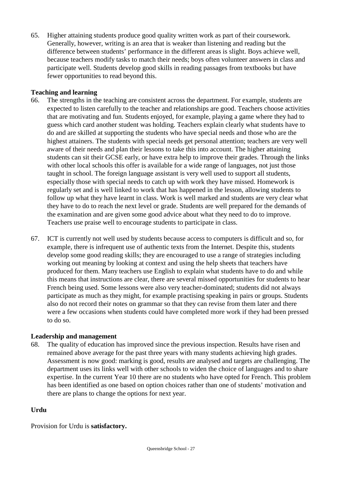65. Higher attaining students produce good quality written work as part of their coursework. Generally, however, writing is an area that is weaker than listening and reading but the difference between students' performance in the different areas is slight. Boys achieve well, because teachers modify tasks to match their needs; boys often volunteer answers in class and participate well. Students develop good skills in reading passages from textbooks but have fewer opportunities to read beyond this.

### **Teaching and learning**

- 66. The strengths in the teaching are consistent across the department. For example, students are expected to listen carefully to the teacher and relationships are good. Teachers choose activities that are motivating and fun*.* Students enjoyed, for example, playing a game where they had to guess which card another student was holding. Teachers explain clearly what students have to do and are skilled at supporting the students who have special needs and those who are the highest attainers. The students with special needs get personal attention; teachers are very well aware of their needs and plan their lessons to take this into account. The higher attaining students can sit their GCSE early, or have extra help to improve their grades. Through the links with other local schools this offer is available for a wide range of languages, not just those taught in school. The foreign language assistant is very well used to support all students, especially those with special needs to catch up with work they have missed. Homework is regularly set and is well linked to work that has happened in the lesson, allowing students to follow up what they have learnt in class. Work is well marked and students are very clear what they have to do to reach the next level or grade. Students are well prepared for the demands of the examination and are given some good advice about what they need to do to improve. Teachers use praise well to encourage students to participate in class.
- 67. ICT is currently not well used by students because access to computers is difficult and so, for example, there is infrequent use of authentic texts from the Internet. Despite this, students develop some good reading skills; they are encouraged to use a range of strategies including working out meaning by looking at context and using the help sheets that teachers have produced for them. Many teachers use English to explain what students have to do and while this means that instructions are clear, there are several missed opportunities for students to hear French being used. Some lessons were also very teacher-dominated; students did not always participate as much as they might, for example practising speaking in pairs or groups. Students also do not record their notes on grammar so that they can revise from them later and there were a few occasions when students could have completed more work if they had been pressed to do so.

### **Leadership and management**

68. The quality of education has improved since the previous inspection. Results have risen and remained above average for the past three years with many students achieving high grades. Assessment is now good: marking is good, results are analysed and targets are challenging. The department uses its links well with other schools to widen the choice of languages and to share expertise. In the current Year 10 there are no students who have opted for French. This problem has been identified as one based on option choices rather than one of students' motivation and there are plans to change the options for next year.

### **Urdu**

Provision for Urdu is **satisfactory.**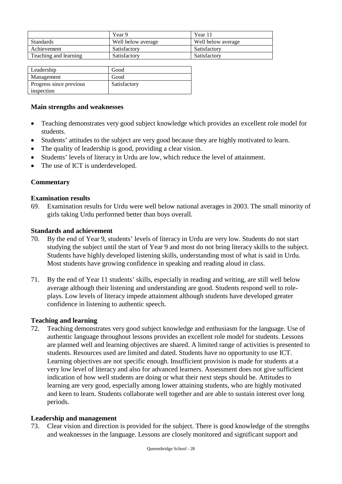|                       | Year 9             | Year 11            |
|-----------------------|--------------------|--------------------|
| <b>Standards</b>      | Well below average | Well below average |
| Achievement           | Satisfactory       | Satisfactory       |
| Teaching and learning | Satisfactory       | Satisfactory       |

| Leadership              | Good         |
|-------------------------|--------------|
| Management              | Good         |
| Progress since previous | Satisfactory |
| inspection              |              |

### **Main strengths and weaknesses**

- Teaching demonstrates very good subject knowledge which provides an excellent role model for students.
- Students' attitudes to the subject are very good because they are highly motivated to learn.
- The quality of leadership is good, providing a clear vision.
- Students' levels of literacy in Urdu are low, which reduce the level of attainment.
- The use of ICT is underdeveloped.

### **Commentary**

### **Examination results**

69. Examination results for Urdu were well below national averages in 2003. The small minority of girls taking Urdu performed better than boys overall.

### **Standards and achievement**

- 70. By the end of Year 9, students' levels of literacy in Urdu are very low. Students do not start studying the subject until the start of Year 9 and most do not bring literacy skills to the subject. Students have highly developed listening skills, understanding most of what is said in Urdu. Most students have growing confidence in speaking and reading aloud in class.
- 71. By the end of Year 11 students' skills, especially in reading and writing, are still well below average although their listening and understanding are good. Students respond well to roleplays. Low levels of literacy impede attainment although students have developed greater confidence in listening to authentic speech.

#### **Teaching and learning**

72. Teaching demonstrates very good subject knowledge and enthusiasm for the language. Use of authentic language throughout lessons provides an excellent role model for students. Lessons are planned well and learning objectives are shared. A limited range of activities is presented to students. Resources used are limited and dated. Students have no opportunity to use ICT. Learning objectives are not specific enough. Insufficient provision is made for students at a very low level of literacy and also for advanced learners. Assessment does not give sufficient indication of how well students are doing or what their next steps should be. Attitudes to learning are very good, especially among lower attaining students, who are highly motivated and keen to learn. Students collaborate well together and are able to sustain interest over long periods.

### **Leadership and management**

73. Clear vision and direction is provided for the subject. There is good knowledge of the strengths and weaknesses in the language. Lessons are closely monitored and significant support and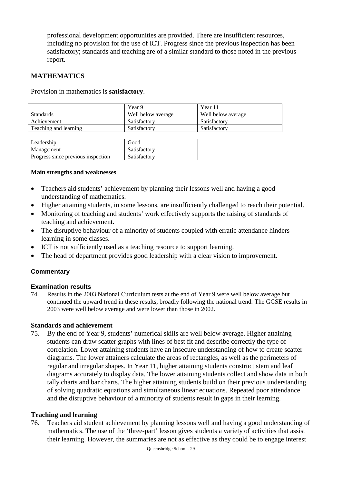professional development opportunities are provided. There are insufficient resources, including no provision for the use of ICT. Progress since the previous inspection has been satisfactory; standards and teaching are of a similar standard to those noted in the previous report.

### **MATHEMATICS**

Provision in mathematics is **satisfactory**.

|                       | Year 9             | Year 11            |
|-----------------------|--------------------|--------------------|
| <b>Standards</b>      | Well below average | Well below average |
| Achievement           | Satisfactory       | Satisfactory       |
| Teaching and learning | Satisfactory       | Satisfactory       |

| Leadership                         | Good         |
|------------------------------------|--------------|
| Management                         | Satisfactory |
| Progress since previous inspection | Satisfactory |
|                                    |              |

#### **Main strengths and weaknesses**

- Teachers aid students' achievement by planning their lessons well and having a good understanding of mathematics.
- Higher attaining students, in some lessons, are insufficiently challenged to reach their potential.
- Monitoring of teaching and students' work effectively supports the raising of standards of teaching and achievement.
- The disruptive behaviour of a minority of students coupled with erratic attendance hinders learning in some classes.
- ICT is not sufficiently used as a teaching resource to support learning.
- The head of department provides good leadership with a clear vision to improvement.

### **Commentary**

#### **Examination results**

74. Results in the 2003 National Curriculum tests at the end of Year 9 were well below average but continued the upward trend in these results, broadly following the national trend*.* The GCSE results in 2003 were well below average and were lower than those in 2002.

#### **Standards and achievement**

75. By the end of Year 9, students' numerical skills are well below average. Higher attaining students can draw scatter graphs with lines of best fit and describe correctly the type of correlation. Lower attaining students have an insecure understanding of how to create scatter diagrams. The lower attainers calculate the areas of rectangles, as well as the perimeters of regular and irregular shapes. In Year 11, higher attaining students construct stem and leaf diagrams accurately to display data. The lower attaining students collect and show data in both tally charts and bar charts. The higher attaining students build on their previous understanding of solving quadratic equations and simultaneous linear equations. Repeated poor attendance and the disruptive behaviour of a minority of students result in gaps in their learning.

#### **Teaching and learning**

76. Teachers aid student achievement by planning lessons well and having a good understanding of mathematics. The use of the 'three-part' lesson gives students a variety of activities that assist their learning. However, the summaries are not as effective as they could be to engage interest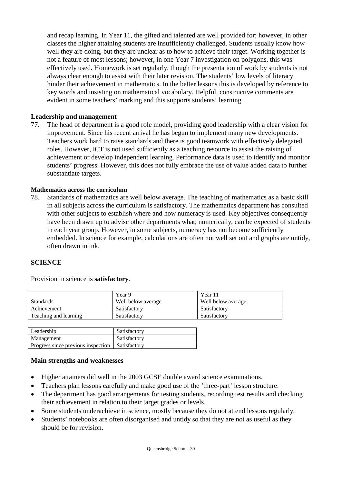and recap learning. In Year 11, the gifted and talented are well provided for; however, in other classes the higher attaining students are insufficiently challenged. Students usually know how well they are doing, but they are unclear as to how to achieve their target. Working together is not a feature of most lessons; however, in one Year 7 investigation on polygons, this was effectively used. Homework is set regularly, though the presentation of work by students is not always clear enough to assist with their later revision. The students' low levels of literacy hinder their achievement in mathematics. In the better lessons this is developed by reference to key words and insisting on mathematical vocabulary. Helpful, constructive comments are evident in some teachers' marking and this supports students' learning.

### **Leadership and management**

77. The head of department is a good role model, providing good leadership with a clear vision for improvement. Since his recent arrival he has begun to implement many new developments. Teachers work hard to raise standards and there is good teamwork with effectively delegated roles. However, ICT is not used sufficiently as a teaching resource to assist the raising of achievement or develop independent learning. Performance data is used to identify and monitor students' progress. However, this does not fully embrace the use of value added data to further substantiate targets.

### **Mathematics across the curriculum**

78. Standards of mathematics are well below average. The teaching of mathematics as a basic skill in all subjects across the curriculum is satisfactory. The mathematics department has consulted with other subjects to establish where and how numeracy is used. Key objectives consequently have been drawn up to advise other departments what, numerically, can be expected of students in each year group. However, in some subjects, numeracy has not become sufficiently embedded. In science for example, calculations are often not well set out and graphs are untidy, often drawn in ink.

### **SCIENCE**

Provision in science is **satisfactory**.

|                       | Year 9             | Year 11            |
|-----------------------|--------------------|--------------------|
| <b>Standards</b>      | Well below average | Well below average |
| Achievement           | Satisfactory       | Satisfactory       |
| Teaching and learning | Satisfactory       | Satisfactory       |

| Leadership                                        | Satisfactory |
|---------------------------------------------------|--------------|
| Management                                        | Satisfactory |
| Progress since previous inspection   Satisfactory |              |

#### **Main strengths and weaknesses**

- Higher attainers did well in the 2003 GCSE double award science examinations.
- Teachers plan lessons carefully and make good use of the 'three-part' lesson structure.
- The department has good arrangements for testing students, recording test results and checking their achievement in relation to their target grades or levels.
- Some students underachieve in science, mostly because they do not attend lessons regularly.
- Students' notebooks are often disorganised and untidy so that they are not as useful as they should be for revision.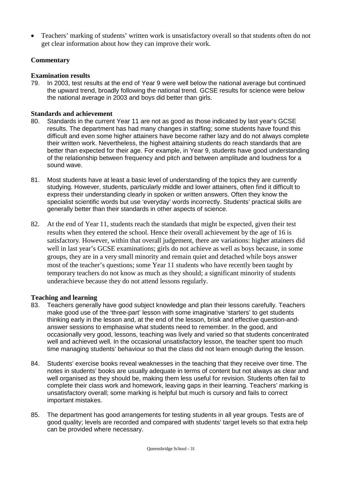Teachers' marking of students' written work is unsatisfactory overall so that students often do not get clear information about how they can improve their work.

### **Commentary**

### **Examination results**

79. In 2003, test results at the end of Year 9 were well below the national average but continued the upward trend, broadly following the national trend*.* GCSE results for science were below the national average in 2003 and boys did better than girls.

### **Standards and achievement**

- 80. Standards in the current Year 11 are not as good as those indicated by last year's GCSE results. The department has had many changes in staffing; some students have found this difficult and even some higher attainers have become rather lazy and do not always complete their written work. Nevertheless, the highest attaining students do reach standards that are better than expected for their age. For example, in Year 9, students have good understanding of the relationship between frequency and pitch and between amplitude and loudness for a sound wave.
- 81. Most students have at least a basic level of understanding of the topics they are currently studying. However, students, particularly middle and lower attainers, often find it difficult to express their understanding clearly in spoken or written answers. Often they know the specialist scientific words but use 'everyday' words incorrectly. Students' practical skills are generally better than their standards in other aspects of science.
- 82. At the end of Year 11, students reach the standards that might be expected, given their test results when they entered the school. Hence their overall achievement by the age of 16 is satisfactory. However, within that overall judgement, there are variations: higher attainers did well in last year's GCSE examinations; girls do not achieve as well as boys because, in some groups, they are in a very small minority and remain quiet and detached while boys answer most of the teacher's questions; some Year 11 students who have recently been taught by temporary teachers do not know as much as they should; a significant minority of students underachieve because they do not attend lessons regularly.

### **Teaching and learning**

- 83. Teachers generally have good subject knowledge and plan their lessons carefully. Teachers make good use of the 'three-part' lesson with some imaginative 'starters' to get students thinking early in the lesson and, at the end of the lesson, brisk and effective question-andanswer sessions to emphasise what students need to remember. In the good, and occasionally very good, lessons, teaching was lively and varied so that students concentrated well and achieved well. In the occasional unsatisfactory lesson, the teacher spent too much time managing students' behaviour so that the class did not learn enough during the lesson.
- 84. Students' exercise books reveal weaknesses in the teaching that they receive over time. The notes in students' books are usually adequate in terms of content but not always as clear and well organised as they should be, making them less useful for revision. Students often fail to complete their class work and homework, leaving gaps in their learning. Teachers' marking is unsatisfactory overall; some marking is helpful but much is cursory and fails to correct important mistakes.
- 85. The department has good arrangements for testing students in all year groups. Tests are of good quality; levels are recorded and compared with students' target levels so that extra help can be provided where necessary.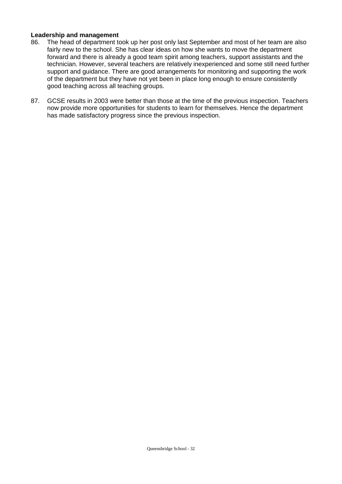#### **Leadership and management**

- 86. The head of department took up her post only last September and most of her team are also fairly new to the school. She has clear ideas on how she wants to move the department forward and there is already a good team spirit among teachers, support assistants and the technician. However, several teachers are relatively inexperienced and some still need further support and guidance. There are good arrangements for monitoring and supporting the work of the department but they have not yet been in place long enough to ensure consistently good teaching across all teaching groups.
- 87. GCSE results in 2003 were better than those at the time of the previous inspection. Teachers now provide more opportunities for students to learn for themselves. Hence the department has made satisfactory progress since the previous inspection.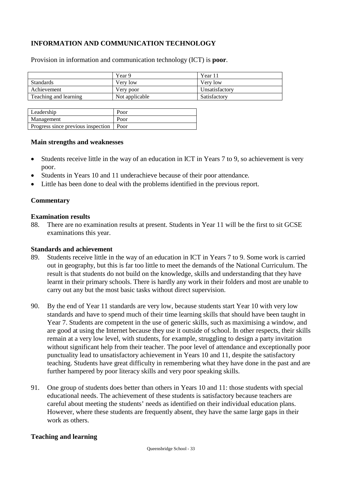## **INFORMATION AND COMMUNICATION TECHNOLOGY**

|                       | Year 9         | Year 11        |
|-----------------------|----------------|----------------|
| <b>Standards</b>      | Very low       | Very low       |
| Achievement           | Very poor      | Unsatisfactory |
| Teaching and learning | Not applicable | Satisfactory   |
|                       |                |                |

Provision in information and communication technology (ICT) is **poor**.

| Leadership                                | Poor |
|-------------------------------------------|------|
| Management                                | Poor |
| Progress since previous inspection   Poor |      |

#### **Main strengths and weaknesses**

- Students receive little in the way of an education in ICT in Years 7 to 9, so achievement is very poor.
- Students in Years 10 and 11 underachieve because of their poor attendance.
- Little has been done to deal with the problems identified in the previous report.

#### **Commentary**

#### **Examination results**

88. There are no examination results at present. Students in Year 11 will be the first to sit GCSE examinations this year.

#### **Standards and achievement**

- 89. Students receive little in the way of an education in ICT in Years 7 to 9. Some work is carried out in geography, but this is far too little to meet the demands of the National Curriculum. The result is that students do not build on the knowledge, skills and understanding that they have learnt in their primary schools. There is hardly any work in their folders and most are unable to carry out any but the most basic tasks without direct supervision.
- 90. By the end of Year 11 standards are very low, because students start Year 10 with very low standards and have to spend much of their time learning skills that should have been taught in Year 7. Students are competent in the use of generic skills, such as maximising a window, and are good at using the Internet because they use it outside of school. In other respects, their skills remain at a very low level, with students, for example, struggling to design a party invitation without significant help from their teacher. The poor level of attendance and exceptionally poor punctuality lead to unsatisfactory achievement in Years 10 and 11, despite the satisfactory teaching. Students have great difficulty in remembering what they have done in the past and are further hampered by poor literacy skills and very poor speaking skills.
- 91. One group of students does better than others in Years 10 and 11: those students with special educational needs. The achievement of these students is satisfactory because teachers are careful about meeting the students' needs as identified on their individual education plans. However, where these students are frequently absent, they have the same large gaps in their work as others.

#### **Teaching and learning**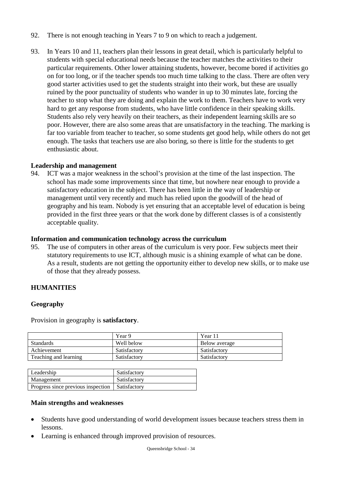- 92. There is not enough teaching in Years 7 to 9 on which to reach a judgement.
- 93. In Years 10 and 11, teachers plan their lessons in great detail, which is particularly helpful to students with special educational needs because the teacher matches the activities to their particular requirements. Other lower attaining students, however, become bored if activities go on for too long, or if the teacher spends too much time talking to the class. There are often very good starter activities used to get the students straight into their work, but these are usually ruined by the poor punctuality of students who wander in up to 30 minutes late, forcing the teacher to stop what they are doing and explain the work to them. Teachers have to work very hard to get any response from students, who have little confidence in their speaking skills. Students also rely very heavily on their teachers, as their independent learning skills are so poor. However, there are also some areas that are unsatisfactory in the teaching. The marking is far too variable from teacher to teacher, so some students get good help, while others do not get enough. The tasks that teachers use are also boring, so there is little for the students to get enthusiastic about.

### **Leadership and management**

94. ICT was a major weakness in the school's provision at the time of the last inspection. The school has made some improvements since that time, but nowhere near enough to provide a satisfactory education in the subject. There has been little in the way of leadership or management until very recently and much has relied upon the goodwill of the head of geography and his team. Nobody is yet ensuring that an acceptable level of education is being provided in the first three years or that the work done by different classes is of a consistently acceptable quality.

#### **Information and communication technology across the curriculum**

95. The use of computers in other areas of the curriculum is very poor. Few subjects meet their statutory requirements to use ICT, although music is a shining example of what can be done. As a result, students are not getting the opportunity either to develop new skills, or to make use of those that they already possess.

#### **HUMANITIES**

#### **Geography**

Provision in geography is **satisfactory**.

|                       | Year 9       | Year $11$     |
|-----------------------|--------------|---------------|
| <b>Standards</b>      | Well below   | Below average |
| Achievement           | Satisfactory | Satisfactory  |
| Teaching and learning | Satisfactory | Satisfactory  |

| Leadership                         | Satisfactory |
|------------------------------------|--------------|
| Management                         | Satisfactory |
| Progress since previous inspection | Satisfactory |

#### **Main strengths and weaknesses**

- Students have good understanding of world development issues because teachers stress them in lessons.
- Learning is enhanced through improved provision of resources.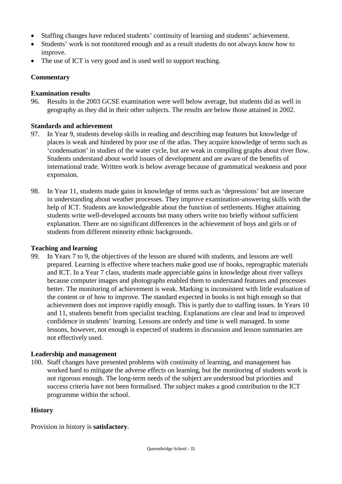- Staffing changes have reduced students' continuity of learning and students' achievement.
- Students' work is not monitored enough and as a result students do not always know how to improve.
- The use of ICT is very good and is used well to support teaching.

### **Commentary**

### **Examination results**

96. Results in the 2003 GCSE examination were well below average, but students did as well in geography as they did in their other subjects. The results are below those attained in 2002.

### **Standards and achievement**

- 97. In Year 9, students develop skills in reading and describing map features but knowledge of places is weak and hindered by poor use of the atlas. They acquire knowledge of terms such as 'condensation' in studies of the water cycle, but are weak in compiling graphs about river flow. Students understand about world issues of development and are aware of the benefits of international trade. Written work is below average because of grammatical weakness and poor expression.
- 98. In Year 11, students made gains in knowledge of terms such as 'depressions' but are insecure in understanding about weather processes. They improve examination-answering skills with the help of ICT. Students are knowledgeable about the function of settlements. Higher attaining students write well-developed accounts but many others write too briefly without sufficient explanation. There are no significant differences in the achievement of boys and girls or of students from different minority ethnic backgrounds.

#### **Teaching and learning**

99. In Years 7 to 9, the objectives of the lesson are shared with students, and lessons are well prepared. Learning is effective where teachers make good use of books, reprographic materials and ICT. In a Year 7 class, students made appreciable gains in knowledge about river valleys because computer images and photographs enabled them to understand features and processes better. The monitoring of achievement is weak. Marking is inconsistent with little evaluation of the content or of how to improve. The standard expected in books is not high enough so that achievement does not improve rapidly enough. This is partly due to staffing issues. In Years 10 and 11, students benefit from specialist teaching. Explanations are clear and lead to improved confidence in students' learning. Lessons are orderly and time is well managed. In some lessons, however, not enough is expected of students in discussion and lesson summaries are not effectively used.

### **Leadership and management**

100. Staff changes have presented problems with continuity of learning, and management has worked hard to mitigate the adverse effects on learning, but the monitoring of students work is not rigorous enough. The long-term needs of the subject are understood but priorities and success criteria have not been formalised. The subject makes a good contribution to the ICT programme within the school.

### **History**

Provision in history is **satisfactory**.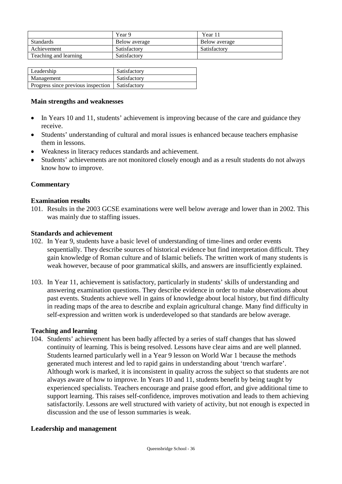|                       | Year 9        | Year 11       |
|-----------------------|---------------|---------------|
| <b>Standards</b>      | Below average | Below average |
| Achievement           | Satisfactory  | Satisfactory  |
| Teaching and learning | Satisfactory  |               |

| Leadership                         | Satisfactory        |
|------------------------------------|---------------------|
| Management                         | Satisfactory        |
| Progress since previous inspection | <b>Satisfactory</b> |

### **Main strengths and weaknesses**

- In Years 10 and 11, students' achievement is improving because of the care and guidance they receive.
- Students' understanding of cultural and moral issues is enhanced because teachers emphasise them in lessons.
- Weakness in literacy reduces standards and achievement.
- Students' achievements are not monitored closely enough and as a result students do not always know how to improve.

### **Commentary**

#### **Examination results**

101. Results in the 2003 GCSE examinations were well below average and lower than in 2002. This was mainly due to staffing issues.

#### **Standards and achievement**

- 102. In Year 9, students have a basic level of understanding of time-lines and order events sequentially. They describe sources of historical evidence but find interpretation difficult. They gain knowledge of Roman culture and of Islamic beliefs. The written work of many students is weak however, because of poor grammatical skills, and answers are insufficiently explained.
- 103. In Year 11, achievement is satisfactory, particularly in students' skills of understanding and answering examination questions. They describe evidence in order to make observations about past events. Students achieve well in gains of knowledge about local history, but find difficulty in reading maps of the area to describe and explain agricultural change. Many find difficulty in self-expression and written work is underdeveloped so that standards are below average.

#### **Teaching and learning**

104. Students' achievement has been badly affected by a series of staff changes that has slowed continuity of learning. This is being resolved. Lessons have clear aims and are well planned. Students learned particularly well in a Year 9 lesson on World War 1 because the methods generated much interest and led to rapid gains in understanding about 'trench warfare'. Although work is marked, it is inconsistent in quality across the subject so that students are not always aware of how to improve. In Years 10 and 11, students benefit by being taught by experienced specialists. Teachers encourage and praise good effort, and give additional time to support learning. This raises self-confidence, improves motivation and leads to them achieving satisfactorily. Lessons are well structured with variety of activity, but not enough is expected in discussion and the use of lesson summaries is weak.

### **Leadership and management**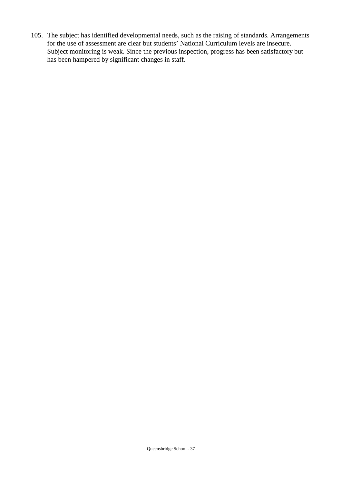105. The subject has identified developmental needs, such as the raising of standards. Arrangements for the use of assessment are clear but students' National Curriculum levels are insecure. Subject monitoring is weak. Since the previous inspection, progress has been satisfactory but has been hampered by significant changes in staff.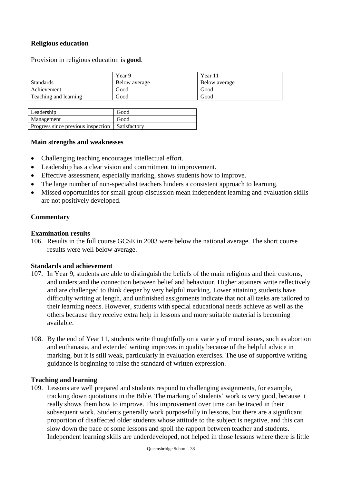### **Religious education**

Provision in religious education is **good**.

|                       | Year 9        | Year 11       |
|-----------------------|---------------|---------------|
| <b>Standards</b>      | Below average | Below average |
| Achievement           | Good          | Good          |
| Teaching and learning | Good          | Good          |
|                       |               |               |

| Leadership                                        | Good |
|---------------------------------------------------|------|
| Management                                        | Good |
| Progress since previous inspection   Satisfactory |      |

#### **Main strengths and weaknesses**

- Challenging teaching encourages intellectual effort.
- Leadership has a clear vision and commitment to improvement.
- Effective assessment, especially marking, shows students how to improve.
- The large number of non-specialist teachers hinders a consistent approach to learning.
- Missed opportunities for small group discussion mean independent learning and evaluation skills are not positively developed.

### **Commentary**

#### **Examination results**

106. Results in the full course GCSE in 2003 were below the national average. The short course results were well below average.

#### **Standards and achievement**

- 107. In Year 9, students are able to distinguish the beliefs of the main religions and their customs, and understand the connection between belief and behaviour. Higher attainers write reflectively and are challenged to think deeper by very helpful marking. Lower attaining students have difficulty writing at length, and unfinished assignments indicate that not all tasks are tailored to their learning needs. However, students with special educational needs achieve as well as the others because they receive extra help in lessons and more suitable material is becoming available.
- 108. By the end of Year 11, students write thoughtfully on a variety of moral issues, such as abortion and euthanasia, and extended writing improves in quality because of the helpful advice in marking, but it is still weak, particularly in evaluation exercises. The use of supportive writing guidance is beginning to raise the standard of written expression.

#### **Teaching and learning**

109. Lessons are well prepared and students respond to challenging assignments, for example, tracking down quotations in the Bible. The marking of students' work is very good, because it really shows them how to improve. This improvement over time can be traced in their subsequent work. Students generally work purposefully in lessons, but there are a significant proportion of disaffected older students whose attitude to the subject is negative, and this can slow down the pace of some lessons and spoil the rapport between teacher and students. Independent learning skills are underdeveloped, not helped in those lessons where there is little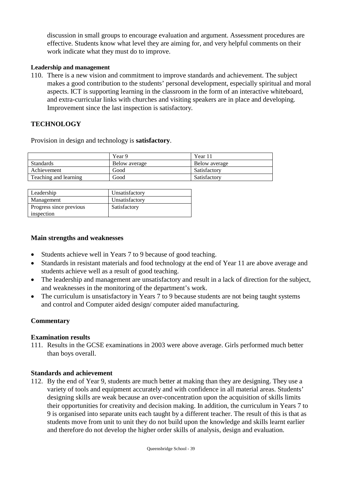discussion in small groups to encourage evaluation and argument. Assessment procedures are effective. Students know what level they are aiming for, and very helpful comments on their work indicate what they must do to improve.

#### **Leadership and management**

110. There is a new vision and commitment to improve standards and achievement. The subject makes a good contribution to the students' personal development, especially spiritual and moral aspects. ICT is supporting learning in the classroom in the form of an interactive whiteboard, and extra-curricular links with churches and visiting speakers are in place and developing. Improvement since the last inspection is satisfactory.

### **TECHNOLOGY**

Provision in design and technology is **satisfactory**.

|                       | Year 9        | Year 11       |
|-----------------------|---------------|---------------|
| <b>Standards</b>      | Below average | Below average |
| Achievement           | Good          | Satisfactory  |
| Teaching and learning | Good          | Satisfactory  |

| Leadership              | Unsatisfactory |
|-------------------------|----------------|
| Management              | Unsatisfactory |
| Progress since previous | Satisfactory   |
| inspection              |                |

#### **Main strengths and weaknesses**

- Students achieve well in Years 7 to 9 because of good teaching.
- Standards in resistant materials and food technology at the end of Year 11 are above average and students achieve well as a result of good teaching.
- The leadership and management are unsatisfactory and result in a lack of direction for the subject, and weaknesses in the monitoring of the department's work.
- The curriculum is unsatisfactory in Years 7 to 9 because students are not being taught systems and control and Computer aided design/ computer aided manufacturing.

#### **Commentary**

#### **Examination results**

111. Results in the GCSE examinations in 2003 were above average. Girls performed much better than boys overall.

#### **Standards and achievement**

112. By the end of Year 9, students are much better at making than they are designing. They use a variety of tools and equipment accurately and with confidence in all material areas. Students' designing skills are weak because an over-concentration upon the acquisition of skills limits their opportunities for creativity and decision making. In addition, the curriculum in Years 7 to 9 is organised into separate units each taught by a different teacher. The result of this is that as students move from unit to unit they do not build upon the knowledge and skills learnt earlier and therefore do not develop the higher order skills of analysis, design and evaluation.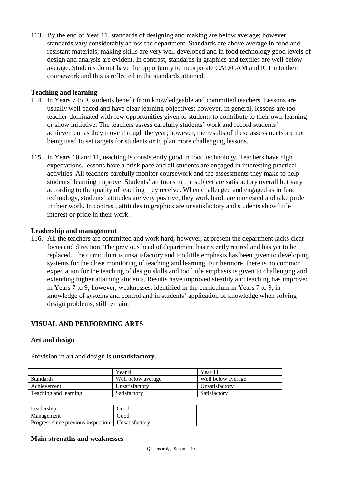113. By the end of Year 11, standards of designing and making are below average; however, standards vary considerably across the department. Standards are above average in food and resistant materials; making skills are very well developed and in food technology good levels of design and analysis are evident. In contrast, standards in graphics and textiles are well below average. Students do not have the opportunity to incorporate CAD/CAM and ICT into their coursework and this is reflected in the standards attained.

### **Teaching and learning**

- 114. In Years 7 to 9, students benefit from knowledgeable and committed teachers. Lessons are usually well paced and have clear learning objectives; however, in general, lessons are too teacher-dominated with few opportunities given to students to contribute to their own learning or show initiative. The teachers assess carefully students' work and record students' achievement as they move through the year; however, the results of these assessments are not being used to set targets for students or to plan more challenging lessons.
- 115. In Years 10 and 11, teaching is consistently good in food technology. Teachers have high expectations, lessons have a brisk pace and all students are engaged in interesting practical activities. All teachers carefully monitor coursework and the assessments they make to help students' learning improve. Students' attitudes to the subject are satisfactory overall but vary according to the quality of teaching they receive. When challenged and engaged as in food technology, students' attitudes are very positive, they work hard, are interested and take pride in their work. In contrast, attitudes to graphics are unsatisfactory and students show little interest or pride in their work.

### **Leadership and management**

116. All the teachers are committed and work hard; however, at present the department lacks clear focus and direction. The previous head of department has recently retired and has yet to be replaced. The curriculum is unsatisfactory and too little emphasis has been given to developing systems for the close monitoring of teaching and learning. Furthermore, there is no common expectation for the teaching of design skills and too little emphasis is given to challenging and extending higher attaining students. Results have improved steadily and teaching has improved in Years 7 to 9; however, weaknesses, identified in the curriculum in Years 7 to 9, in knowledge of systems and control and in students' application of knowledge when solving design problems, still remain.

### **VISUAL AND PERFORMING ARTS**

### **Art and design**

|                       | Year 9             | Year 11            |
|-----------------------|--------------------|--------------------|
| <b>Standards</b>      | Well below average | Well below average |
| Achievement           | Unsatisfactory     | Unsatisfactory     |
| Teaching and learning | Satisfactory       | Satisfactory       |

Provision in art and design is **unsatisfactory**.

| Leadership                                          | Good |
|-----------------------------------------------------|------|
| Management                                          | Good |
| Progress since previous inspection   Unsatisfactory |      |

### **Main strengths and weaknesses**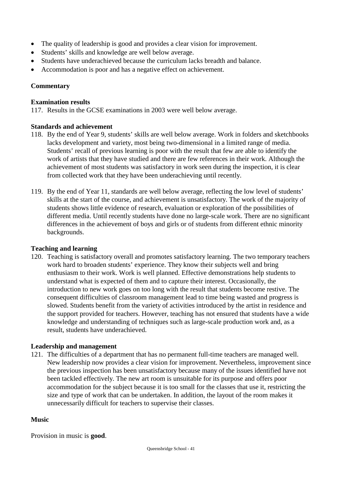- The quality of leadership is good and provides a clear vision for improvement.
- Students' skills and knowledge are well below average.
- Students have underachieved because the curriculum lacks breadth and balance.
- Accommodation is poor and has a negative effect on achievement.

### **Commentary**

### **Examination results**

117. Results in the GCSE examinations in 2003 were well below average.

### **Standards and achievement**

- 118. By the end of Year 9, students' skills are well below average. Work in folders and sketchbooks lacks development and variety, most being two-dimensional in a limited range of media. Students' recall of previous learning is poor with the result that few are able to identify the work of artists that they have studied and there are few references in their work. Although the achievement of most students was satisfactory in work seen during the inspection, it is clear from collected work that they have been underachieving until recently.
- 119. By the end of Year 11, standards are well below average, reflecting the low level of students' skills at the start of the course, and achievement is unsatisfactory. The work of the majority of students shows little evidence of research, evaluation or exploration of the possibilities of different media. Until recently students have done no large-scale work. There are no significant differences in the achievement of boys and girls or of students from different ethnic minority backgrounds.

### **Teaching and learning**

120. Teaching is satisfactory overall and promotes satisfactory learning. The two temporary teachers work hard to broaden students' experience. They know their subjects well and bring enthusiasm to their work. Work is well planned. Effective demonstrations help students to understand what is expected of them and to capture their interest. Occasionally, the introduction to new work goes on too long with the result that students become restive. The consequent difficulties of classroom management lead to time being wasted and progress is slowed. Students benefit from the variety of activities introduced by the artist in residence and the support provided for teachers. However, teaching has not ensured that students have a wide knowledge and understanding of techniques such as large-scale production work and, as a result, students have underachieved.

#### **Leadership and management**

121. The difficulties of a department that has no permanent full-time teachers are managed well. New leadership now provides a clear vision for improvement. Nevertheless, improvement since the previous inspection has been unsatisfactory because many of the issues identified have not been tackled effectively. The new art room is unsuitable for its purpose and offers poor accommodation for the subject because it is too small for the classes that use it, restricting the size and type of work that can be undertaken. In addition, the layout of the room makes it unnecessarily difficult for teachers to supervise their classes.

#### **Music**

Provision in music is **good**.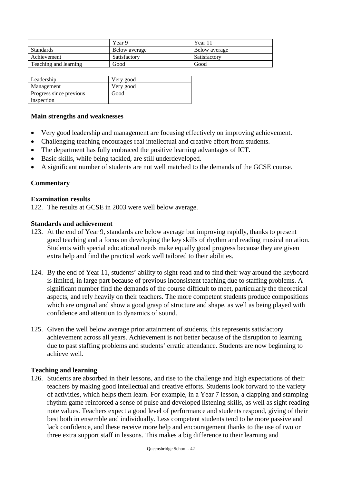|                       | Year 9        | Year 11       |
|-----------------------|---------------|---------------|
| <b>Standards</b>      | Below average | Below average |
| Achievement           | Satisfactory  | Satisfactory  |
| Teaching and learning | Good          | Good          |

| Leadership              | Very good |
|-------------------------|-----------|
| Management              | Very good |
| Progress since previous | Good      |
| inspection              |           |

#### **Main strengths and weaknesses**

- Very good leadership and management are focusing effectively on improving achievement.
- Challenging teaching encourages real intellectual and creative effort from students.
- The department has fully embraced the positive learning advantages of ICT.
- Basic skills, while being tackled, are still underdeveloped.
- A significant number of students are not well matched to the demands of the GCSE course.

#### **Commentary**

#### **Examination results**

122. The results at GCSE in 2003 were well below average.

#### **Standards and achievement**

- 123. At the end of Year 9, standards are below average but improving rapidly, thanks to present good teaching and a focus on developing the key skills of rhythm and reading musical notation. Students with special educational needs make equally good progress because they are given extra help and find the practical work well tailored to their abilities.
- 124. By the end of Year 11, students' ability to sight-read and to find their way around the keyboard is limited, in large part because of previous inconsistent teaching due to staffing problems. A significant number find the demands of the course difficult to meet, particularly the theoretical aspects, and rely heavily on their teachers. The more competent students produce compositions which are original and show a good grasp of structure and shape, as well as being played with confidence and attention to dynamics of sound.
- 125. Given the well below average prior attainment of students, this represents satisfactory achievement across all years. Achievement is not better because of the disruption to learning due to past staffing problems and students' erratic attendance. Students are now beginning to achieve well.

#### **Teaching and learning**

126. Students are absorbed in their lessons, and rise to the challenge and high expectations of their teachers by making good intellectual and creative efforts. Students look forward to the variety of activities, which helps them learn. For example, in a Year 7 lesson, a clapping and stamping rhythm game reinforced a sense of pulse and developed listening skills, as well as sight reading note values. Teachers expect a good level of performance and students respond, giving of their best both in ensemble and individually. Less competent students tend to be more passive and lack confidence, and these receive more help and encouragement thanks to the use of two or three extra support staff in lessons. This makes a big difference to their learning and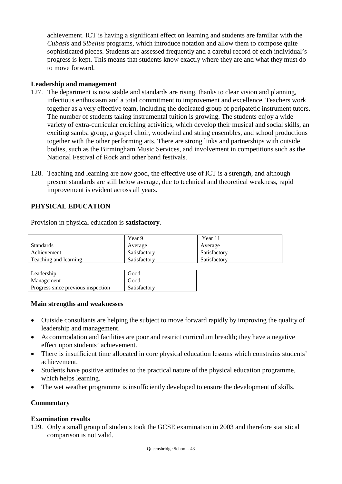achievement. ICT is having a significant effect on learning and students are familiar with the *Cubasis* and *Sibelius* programs, which introduce notation and allow them to compose quite sophisticated pieces. Students are assessed frequently and a careful record of each individual's progress is kept. This means that students know exactly where they are and what they must do to move forward.

### **Leadership and management**

- 127. The department is now stable and standards are rising, thanks to clear vision and planning, infectious enthusiasm and a total commitment to improvement and excellence. Teachers work together as a very effective team, including the dedicated group of peripatetic instrument tutors. The number of students taking instrumental tuition is growing. The students enjoy a wide variety of extra-curricular enriching activities, which develop their musical and social skills, an exciting samba group, a gospel choir, woodwind and string ensembles, and school productions together with the other performing arts. There are strong links and partnerships with outside bodies, such as the Birmingham Music Services, and involvement in competitions such as the National Festival of Rock and other band festivals.
- 128. Teaching and learning are now good, the effective use of ICT is a strength, and although present standards are still below average, due to technical and theoretical weakness, rapid improvement is evident across all years.

### **PHYSICAL EDUCATION**

|                       | Year 9       | Year 11      |
|-----------------------|--------------|--------------|
| <b>Standards</b>      | Average      | Average      |
| Achievement           | Satisfactory | Satisfactory |
| Teaching and learning | Satisfactory | Satisfactory |
|                       |              |              |

Provision in physical education is **satisfactory**.

| Leadership                         | Good         |
|------------------------------------|--------------|
| Management                         | Good         |
| Progress since previous inspection | Satisfactory |

### **Main strengths and weaknesses**

- Outside consultants are helping the subject to move forward rapidly by improving the quality of leadership and management.
- Accommodation and facilities are poor and restrict curriculum breadth; they have a negative effect upon students' achievement.
- There is insufficient time allocated in core physical education lessons which constrains students' achievement.
- Students have positive attitudes to the practical nature of the physical education programme, which helps learning.
- The wet weather programme is insufficiently developed to ensure the development of skills.

### **Commentary**

### **Examination results**

129. Only a small group of students took the GCSE examination in 2003 and therefore statistical comparison is not valid.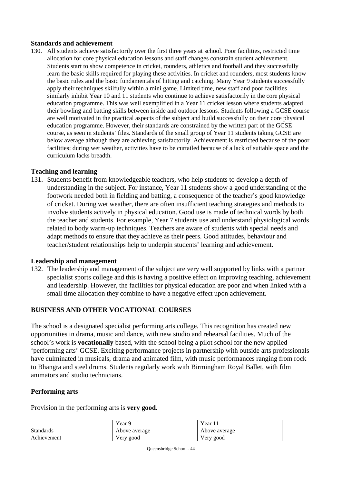#### **Standards and achievement**

130. All students achieve satisfactorily over the first three years at school. Poor facilities, restricted time allocation for core physical education lessons and staff changes constrain student achievement. Students start to show competence in cricket, rounders, athletics and football and they successfully learn the basic skills required for playing these activities. In cricket and rounders, most students know the basic rules and the basic fundamentals of hitting and catching. Many Year 9 students successfully apply their techniques skilfully within a mini game. Limited time, new staff and poor facilities similarly inhibit Year 10 and 11 students who continue to achieve satisfactorily in the core physical education programme. This was well exemplified in a Year 11 cricket lesson where students adapted their bowling and batting skills between inside and outdoor lessons. Students following a GCSE course are well motivated in the practical aspects of the subject and build successfully on their core physical education programme. However, their standards are constrained by the written part of the GCSE course, as seen in students' files. Standards of the small group of Year 11 students taking GCSE are below average although they are achieving satisfactorily. Achievement is restricted because of the poor facilities; during wet weather, activities have to be curtailed because of a lack of suitable space and the curriculum lacks breadth.

### **Teaching and learning**

131. Students benefit from knowledgeable teachers, who help students to develop a depth of understanding in the subject. For instance, Year 11 students show a good understanding of the footwork needed both in fielding and batting, a consequence of the teacher's good knowledge of cricket. During wet weather, there are often insufficient teaching strategies and methods to involve students actively in physical education. Good use is made of technical words by both the teacher and students. For example, Year 7 students use and understand physiological words related to body warm-up techniques. Teachers are aware of students with special needs and adapt methods to ensure that they achieve as their peers. Good attitudes, behaviour and teacher/student relationships help to underpin students' learning and achievement.

#### **Leadership and management**

132. The leadership and management of the subject are very well supported by links with a partner specialist sports college and this is having a positive effect on improving teaching, achievement and leadership. However, the facilities for physical education are poor and when linked with a small time allocation they combine to have a negative effect upon achievement.

### **BUSINESS AND OTHER VOCATIONAL COURSES**

The school is a designated specialist performing arts college. This recognition has created new opportunities in drama, music and dance, with new studio and rehearsal facilities. Much of the school's work is **vocationally** based, with the school being a pilot school for the new applied 'performing arts' GCSE. Exciting performance projects in partnership with outside arts professionals have culminated in musicals, drama and animated film, with music performances ranging from rock to Bhangra and steel drums. Students regularly work with Birmingham Royal Ballet, with film animators and studio technicians.

#### **Performing arts**

Provision in the performing arts is **very good**.

|                  | Year 9        | Year.         |
|------------------|---------------|---------------|
| <b>Standards</b> | Above average | Above average |
| Achievement      | Very good     | Very good     |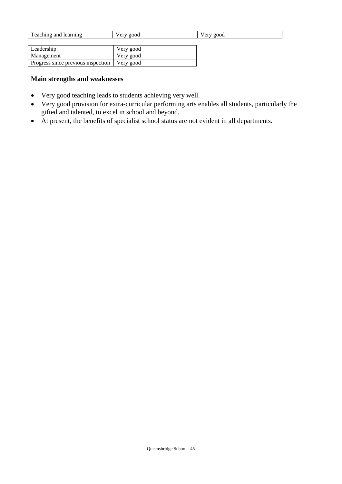| Teaching and learning | Very good | Very good |
|-----------------------|-----------|-----------|
|                       |           |           |
| ∟eadership            | Very good |           |

| Loughbridge                                    | $VUY$ good |
|------------------------------------------------|------------|
| Management                                     | Very good  |
| Progress since previous inspection   Very good |            |

### **Main strengths and weaknesses**

- Very good teaching leads to students achieving very well.
- Very good provision for extra-curricular performing arts enables all students, particularly the gifted and talented, to excel in school and beyond.
- At present, the benefits of specialist school status are not evident in all departments.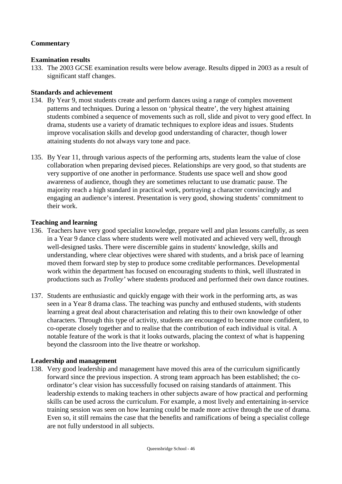### **Commentary**

### **Examination results**

133. The 2003 GCSE examination results were below average. Results dipped in 2003 as a result of significant staff changes.

### **Standards and achievement**

- 134. By Year 9, most students create and perform dances using a range of complex movement patterns and techniques. During a lesson on 'physical theatre', the very highest attaining students combined a sequence of movements such as roll, slide and pivot to very good effect. In drama, students use a variety of dramatic techniques to explore ideas and issues. Students improve vocalisation skills and develop good understanding of character, though lower attaining students do not always vary tone and pace.
- 135. By Year 11, through various aspects of the performing arts, students learn the value of close collaboration when preparing devised pieces. Relationships are very good, so that students are very supportive of one another in performance. Students use space well and show good awareness of audience, though they are sometimes reluctant to use dramatic pause. The majority reach a high standard in practical work, portraying a character convincingly and engaging an audience's interest. Presentation is very good, showing students' commitment to their work.

### **Teaching and learning**

- 136. Teachers have very good specialist knowledge, prepare well and plan lessons carefully, as seen in a Year 9 dance class where students were well motivated and achieved very well, through well-designed tasks. There were discernible gains in students' knowledge, skills and understanding, where clear objectives were shared with students, and a brisk pace of learning moved them forward step by step to produce some creditable performances. Developmental work within the department has focused on encouraging students to think, well illustrated in productions such as *Trolley'* where students produced and performed their own dance routines.
- 137. Students are enthusiastic and quickly engage with their work in the performing arts, as was seen in a Year 8 drama class. The teaching was punchy and enthused students, with students learning a great deal about characterisation and relating this to their own knowledge of other characters. Through this type of activity, students are encouraged to become more confident, to co-operate closely together and to realise that the contribution of each individual is vital. A notable feature of the work is that it looks outwards, placing the context of what is happening beyond the classroom into the live theatre or workshop.

### **Leadership and management**

138. Very good leadership and management have moved this area of the curriculum significantly forward since the previous inspection. A strong team approach has been established; the coordinator's clear vision has successfully focused on raising standards of attainment. This leadership extends to making teachers in other subjects aware of how practical and performing skills can be used across the curriculum. For example, a most lively and entertaining in-service training session was seen on how learning could be made more active through the use of drama. Even so, it still remains the case that the benefits and ramifications of being a specialist college are not fully understood in all subjects.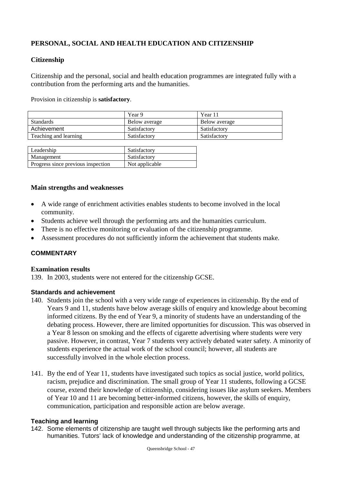### **PERSONAL, SOCIAL AND HEALTH EDUCATION AND CITIZENSHIP**

### **Citizenship**

Citizenship and the personal, social and health education programmes are integrated fully with a contribution from the performing arts and the humanities.

Provision in citizenship is **satisfactory**.

|                       | Year 9        | Year 11       |
|-----------------------|---------------|---------------|
| <b>Standards</b>      | Below average | Below average |
| Achievement           | Satisfactory  | Satisfactory  |
| Teaching and learning | Satisfactory  | Satisfactory  |

| Leadership                         | Satisfactory   |
|------------------------------------|----------------|
| Management                         | Satisfactory   |
| Progress since previous inspection | Not applicable |

### **Main strengths and weaknesses**

- A wide range of enrichment activities enables students to become involved in the local community.
- Students achieve well through the performing arts and the humanities curriculum.
- There is no effective monitoring or evaluation of the citizenship programme.
- Assessment procedures do not sufficiently inform the achievement that students make.

### **COMMENTARY**

#### **Examination results**

139. In 2003, students were not entered for the citizenship GCSE.

#### **Standards and achievement**

- 140. Students join the school with a very wide range of experiences in citizenship. By the end of Years 9 and 11, students have below average skills of enquiry and knowledge about becoming informed citizens. By the end of Year 9, a minority of students have an understanding of the debating process. However, there are limited opportunities for discussion. This was observed in a Year 8 lesson on smoking and the effects of cigarette advertising where students were very passive. However, in contrast, Year 7 students very actively debated water safety. A minority of students experience the actual work of the school council; however, all students are successfully involved in the whole election process.
- 141. By the end of Year 11, students have investigated such topics as social justice, world politics, racism, prejudice and discrimination. The small group of Year 11 students, following a GCSE course, extend their knowledge of citizenship, considering issues like asylum seekers. Members of Year 10 and 11 are becoming better-informed citizens, however, the skills of enquiry, communication, participation and responsible action are below average.

#### **Teaching and learning**

142. Some elements of citizenship are taught well through subjects like the performing arts and humanities. Tutors' lack of knowledge and understanding of the citizenship programme, at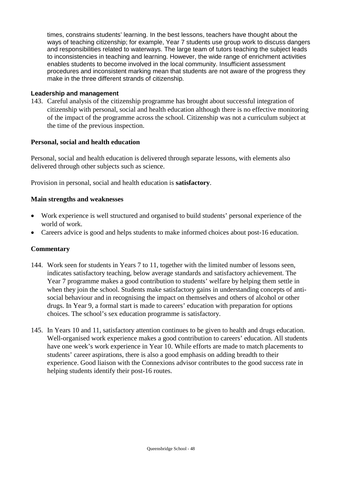times, constrains students' learning. In the best lessons, teachers have thought about the ways of teaching citizenship; for example, Year 7 students use group work to discuss dangers and responsibilities related to waterways. The large team of tutors teaching the subject leads to inconsistencies in teaching and learning. However, the wide range of enrichment activities enables students to become involved in the local community. Insufficient assessment procedures and inconsistent marking mean that students are not aware of the progress they make in the three different strands of citizenship.

### **Leadership and management**

143. Careful analysis of the citizenship programme has brought about successful integration of citizenship with personal, social and health education although there is no effective monitoring of the impact of the programme across the school. Citizenship was not a curriculum subject at the time of the previous inspection.

### **Personal, social and health education**

Personal, social and health education is delivered through separate lessons, with elements also delivered through other subjects such as science.

Provision in personal, social and health education is **satisfactory**.

### **Main strengths and weaknesses**

- Work experience is well structured and organised to build students' personal experience of the world of work.
- Careers advice is good and helps students to make informed choices about post-16 education.

### **Commentary**

- 144. Work seen for students in Years 7 to 11, together with the limited number of lessons seen, indicates satisfactory teaching, below average standards and satisfactory achievement. The Year 7 programme makes a good contribution to students' welfare by helping them settle in when they join the school. Students make satisfactory gains in understanding concepts of antisocial behaviour and in recognising the impact on themselves and others of alcohol or other drugs. In Year 9, a formal start is made to careers' education with preparation for options choices. The school's sex education programme is satisfactory.
- 145. In Years 10 and 11, satisfactory attention continues to be given to health and drugs education. Well-organised work experience makes a good contribution to careers' education. All students have one week's work experience in Year 10. While efforts are made to match placements to students' career aspirations, there is also a good emphasis on adding breadth to their experience. Good liaison with the Connexions advisor contributes to the good success rate in helping students identify their post-16 routes.